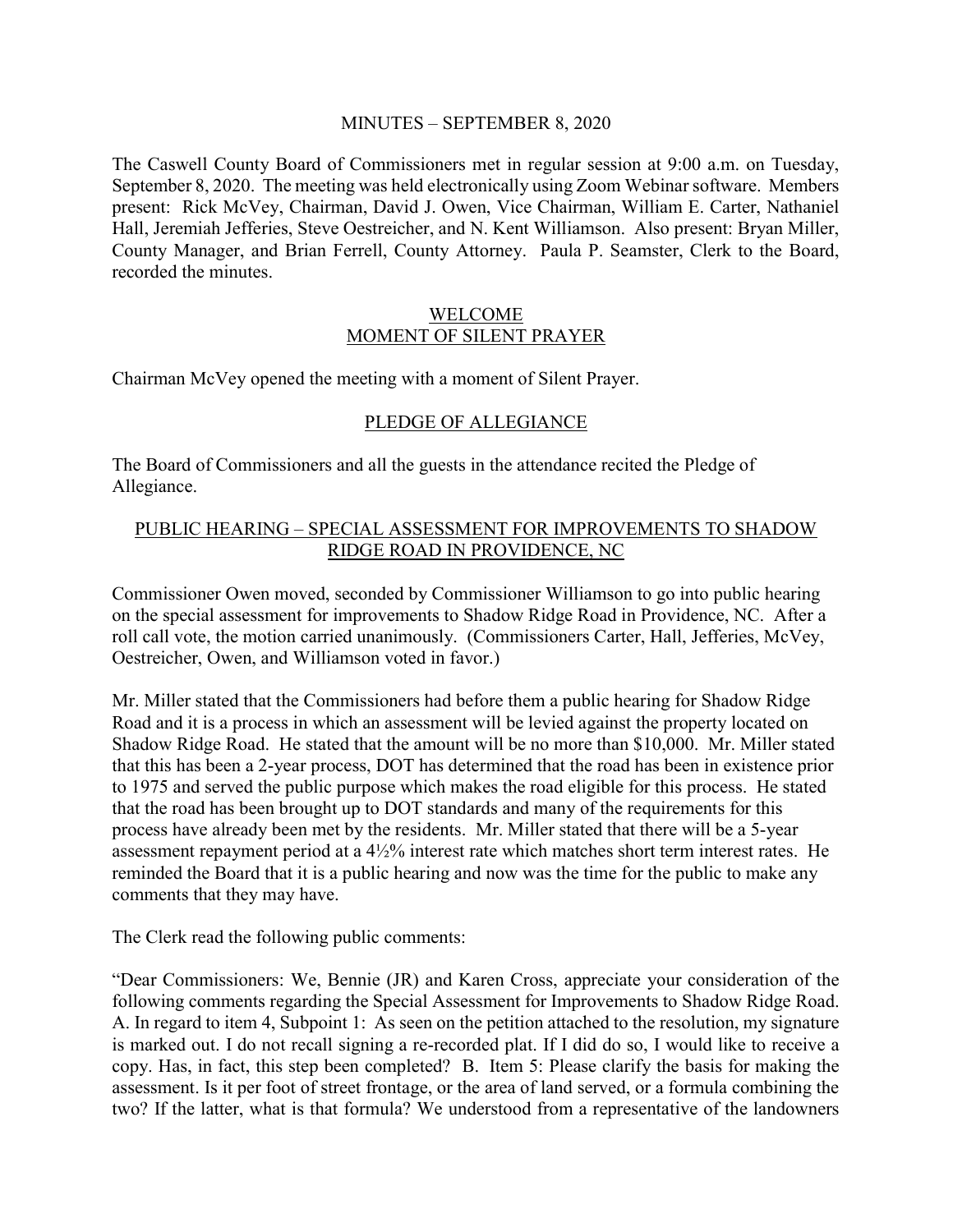### MINUTES – SEPTEMBER 8, 2020

The Caswell County Board of Commissioners met in regular session at 9:00 a.m. on Tuesday, September 8, 2020. The meeting was held electronically using Zoom Webinar software. Members present: Rick McVey, Chairman, David J. Owen, Vice Chairman, William E. Carter, Nathaniel Hall, Jeremiah Jefferies, Steve Oestreicher, and N. Kent Williamson. Also present: Bryan Miller, County Manager, and Brian Ferrell, County Attorney. Paula P. Seamster, Clerk to the Board, recorded the minutes.

### WELCOME MOMENT OF SILENT PRAYER

Chairman McVey opened the meeting with a moment of Silent Prayer.

### PLEDGE OF ALLEGIANCE

The Board of Commissioners and all the guests in the attendance recited the Pledge of Allegiance.

### PUBLIC HEARING – SPECIAL ASSESSMENT FOR IMPROVEMENTS TO SHADOW RIDGE ROAD IN PROVIDENCE, NC

Commissioner Owen moved, seconded by Commissioner Williamson to go into public hearing on the special assessment for improvements to Shadow Ridge Road in Providence, NC. After a roll call vote, the motion carried unanimously. (Commissioners Carter, Hall, Jefferies, McVey, Oestreicher, Owen, and Williamson voted in favor.)

Mr. Miller stated that the Commissioners had before them a public hearing for Shadow Ridge Road and it is a process in which an assessment will be levied against the property located on Shadow Ridge Road. He stated that the amount will be no more than \$10,000. Mr. Miller stated that this has been a 2-year process, DOT has determined that the road has been in existence prior to 1975 and served the public purpose which makes the road eligible for this process. He stated that the road has been brought up to DOT standards and many of the requirements for this process have already been met by the residents. Mr. Miller stated that there will be a 5-year assessment repayment period at a 4½% interest rate which matches short term interest rates. He reminded the Board that it is a public hearing and now was the time for the public to make any comments that they may have.

The Clerk read the following public comments:

"Dear Commissioners: We, Bennie (JR) and Karen Cross, appreciate your consideration of the following comments regarding the Special Assessment for Improvements to Shadow Ridge Road. A. In regard to item 4, Subpoint 1: As seen on the petition attached to the resolution, my signature is marked out. I do not recall signing a re-recorded plat. If I did do so, I would like to receive a copy. Has, in fact, this step been completed? B. Item 5: Please clarify the basis for making the assessment. Is it per foot of street frontage, or the area of land served, or a formula combining the two? If the latter, what is that formula? We understood from a representative of the landowners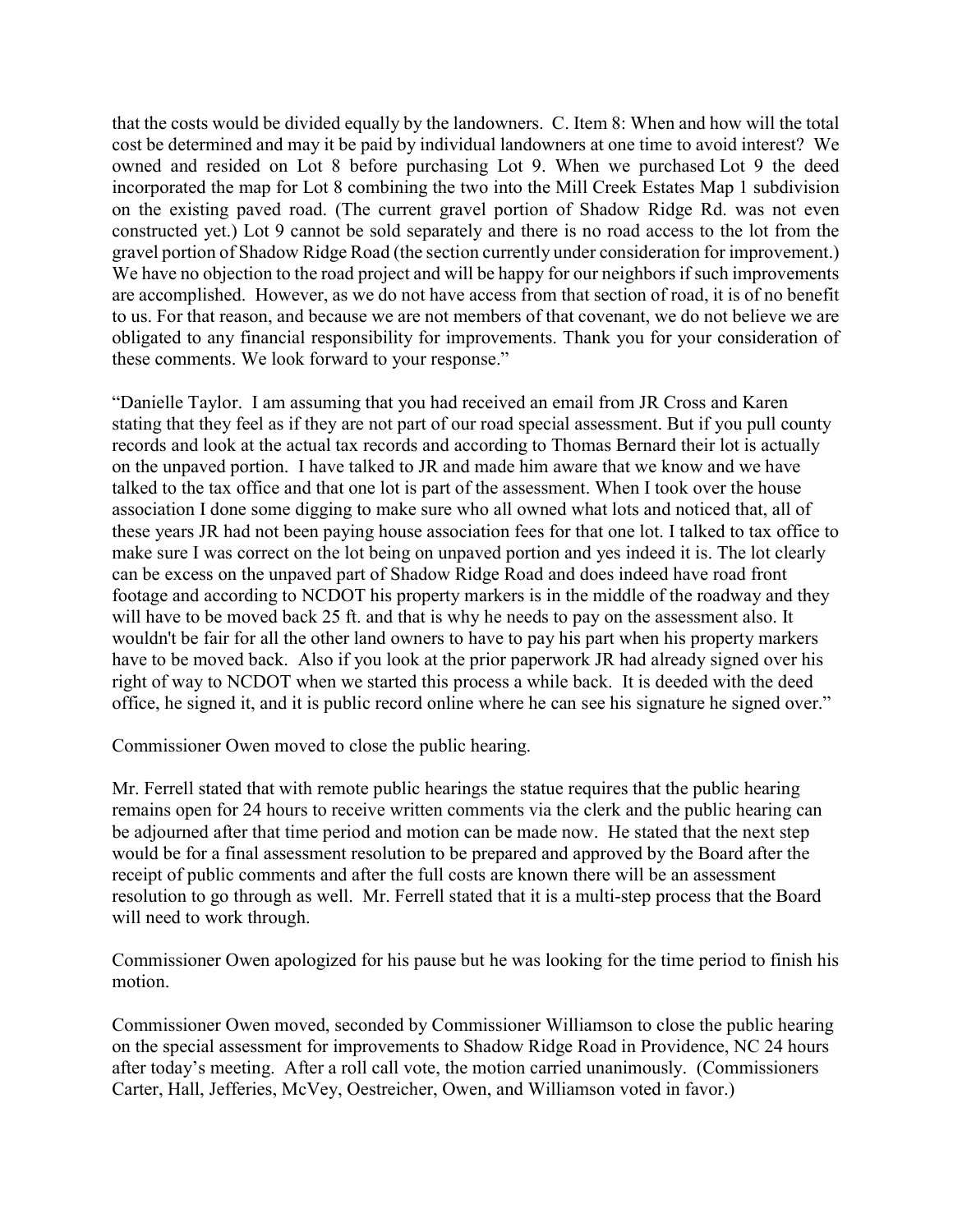that the costs would be divided equally by the landowners. C. Item 8: When and how will the total cost be determined and may it be paid by individual landowners at one time to avoid interest? We owned and resided on Lot 8 before purchasing Lot 9. When we purchased Lot 9 the deed incorporated the map for Lot 8 combining the two into the Mill Creek Estates Map 1 subdivision on the existing paved road. (The current gravel portion of Shadow Ridge Rd. was not even constructed yet.) Lot 9 cannot be sold separately and there is no road access to the lot from the gravel portion of Shadow Ridge Road (the section currently under consideration for improvement.) We have no objection to the road project and will be happy for our neighbors if such improvements are accomplished. However, as we do not have access from that section of road, it is of no benefit to us. For that reason, and because we are not members of that covenant, we do not believe we are obligated to any financial responsibility for improvements. Thank you for your consideration of these comments. We look forward to your response."

"Danielle Taylor. I am assuming that you had received an email from JR Cross and Karen stating that they feel as if they are not part of our road special assessment. But if you pull county records and look at the actual tax records and according to Thomas Bernard their lot is actually on the unpaved portion. I have talked to JR and made him aware that we know and we have talked to the tax office and that one lot is part of the assessment. When I took over the house association I done some digging to make sure who all owned what lots and noticed that, all of these years JR had not been paying house association fees for that one lot. I talked to tax office to make sure I was correct on the lot being on unpaved portion and yes indeed it is. The lot clearly can be excess on the unpaved part of Shadow Ridge Road and does indeed have road front footage and according to NCDOT his property markers is in the middle of the roadway and they will have to be moved back 25 ft. and that is why he needs to pay on the assessment also. It wouldn't be fair for all the other land owners to have to pay his part when his property markers have to be moved back. Also if you look at the prior paperwork JR had already signed over his right of way to NCDOT when we started this process a while back. It is deeded with the deed office, he signed it, and it is public record online where he can see his signature he signed over."

Commissioner Owen moved to close the public hearing.

Mr. Ferrell stated that with remote public hearings the statue requires that the public hearing remains open for 24 hours to receive written comments via the clerk and the public hearing can be adjourned after that time period and motion can be made now. He stated that the next step would be for a final assessment resolution to be prepared and approved by the Board after the receipt of public comments and after the full costs are known there will be an assessment resolution to go through as well. Mr. Ferrell stated that it is a multi-step process that the Board will need to work through.

Commissioner Owen apologized for his pause but he was looking for the time period to finish his motion.

Commissioner Owen moved, seconded by Commissioner Williamson to close the public hearing on the special assessment for improvements to Shadow Ridge Road in Providence, NC 24 hours after today's meeting. After a roll call vote, the motion carried unanimously. (Commissioners Carter, Hall, Jefferies, McVey, Oestreicher, Owen, and Williamson voted in favor.)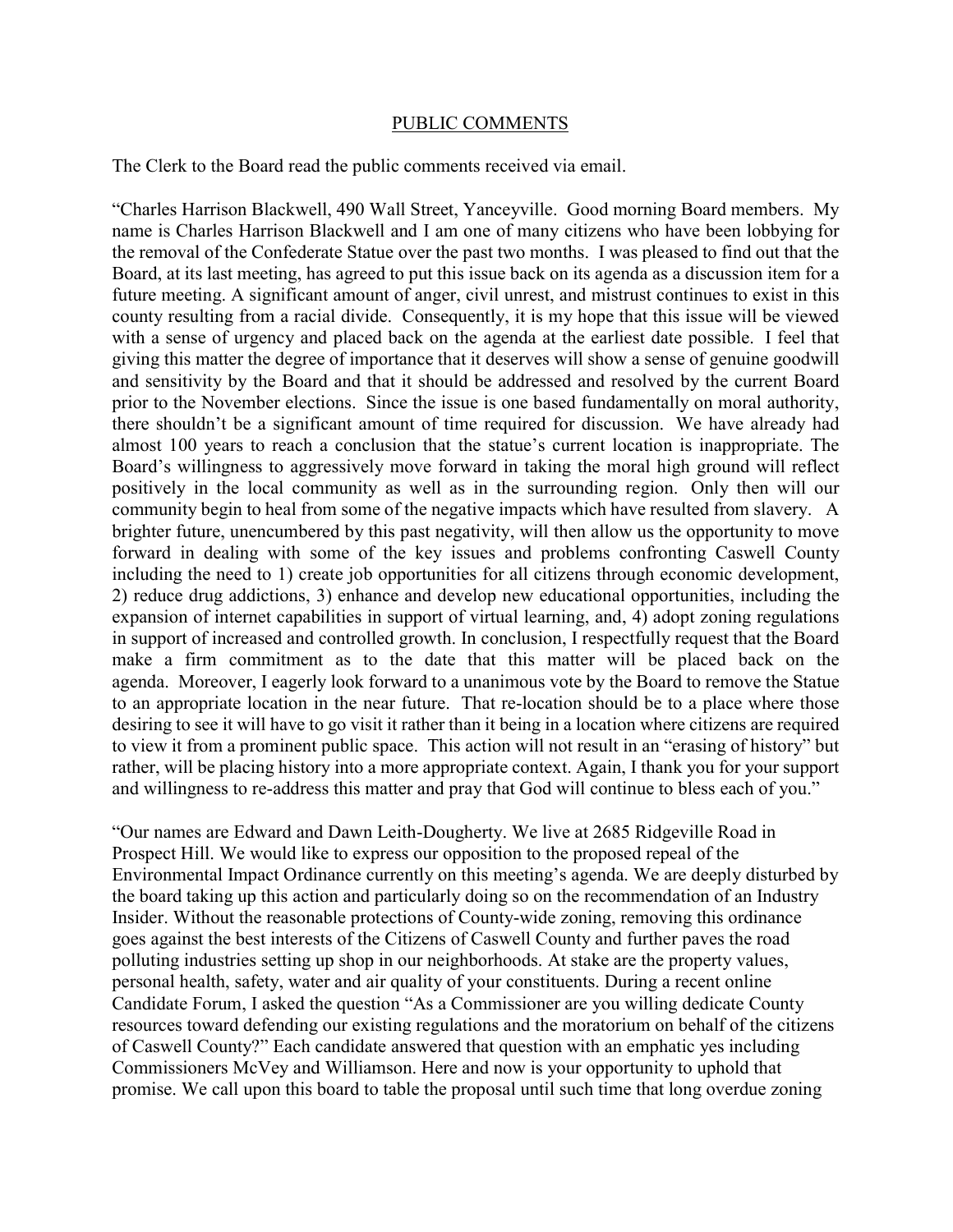#### PUBLIC COMMENTS

The Clerk to the Board read the public comments received via email.

"Charles Harrison Blackwell, 490 Wall Street, Yanceyville. Good morning Board members. My name is Charles Harrison Blackwell and I am one of many citizens who have been lobbying for the removal of the Confederate Statue over the past two months. I was pleased to find out that the Board, at its last meeting, has agreed to put this issue back on its agenda as a discussion item for a future meeting. A significant amount of anger, civil unrest, and mistrust continues to exist in this county resulting from a racial divide. Consequently, it is my hope that this issue will be viewed with a sense of urgency and placed back on the agenda at the earliest date possible. I feel that giving this matter the degree of importance that it deserves will show a sense of genuine goodwill and sensitivity by the Board and that it should be addressed and resolved by the current Board prior to the November elections. Since the issue is one based fundamentally on moral authority, there shouldn't be a significant amount of time required for discussion. We have already had almost 100 years to reach a conclusion that the statue's current location is inappropriate. The Board's willingness to aggressively move forward in taking the moral high ground will reflect positively in the local community as well as in the surrounding region. Only then will our community begin to heal from some of the negative impacts which have resulted from slavery. A brighter future, unencumbered by this past negativity, will then allow us the opportunity to move forward in dealing with some of the key issues and problems confronting Caswell County including the need to 1) create job opportunities for all citizens through economic development, 2) reduce drug addictions, 3) enhance and develop new educational opportunities, including the expansion of internet capabilities in support of virtual learning, and, 4) adopt zoning regulations in support of increased and controlled growth. In conclusion, I respectfully request that the Board make a firm commitment as to the date that this matter will be placed back on the agenda. Moreover, I eagerly look forward to a unanimous vote by the Board to remove the Statue to an appropriate location in the near future. That re-location should be to a place where those desiring to see it will have to go visit it rather than it being in a location where citizens are required to view it from a prominent public space. This action will not result in an "erasing of history" but rather, will be placing history into a more appropriate context. Again, I thank you for your support and willingness to re-address this matter and pray that God will continue to bless each of you."

"Our names are Edward and Dawn Leith-Dougherty. We live at 2685 Ridgeville Road in Prospect Hill. We would like to express our opposition to the proposed repeal of the Environmental Impact Ordinance currently on this meeting's agenda. We are deeply disturbed by the board taking up this action and particularly doing so on the recommendation of an Industry Insider. Without the reasonable protections of County-wide zoning, removing this ordinance goes against the best interests of the Citizens of Caswell County and further paves the road polluting industries setting up shop in our neighborhoods. At stake are the property values, personal health, safety, water and air quality of your constituents. During a recent online Candidate Forum, I asked the question "As a Commissioner are you willing dedicate County resources toward defending our existing regulations and the moratorium on behalf of the citizens of Caswell County?" Each candidate answered that question with an emphatic yes including Commissioners McVey and Williamson. Here and now is your opportunity to uphold that promise. We call upon this board to table the proposal until such time that long overdue zoning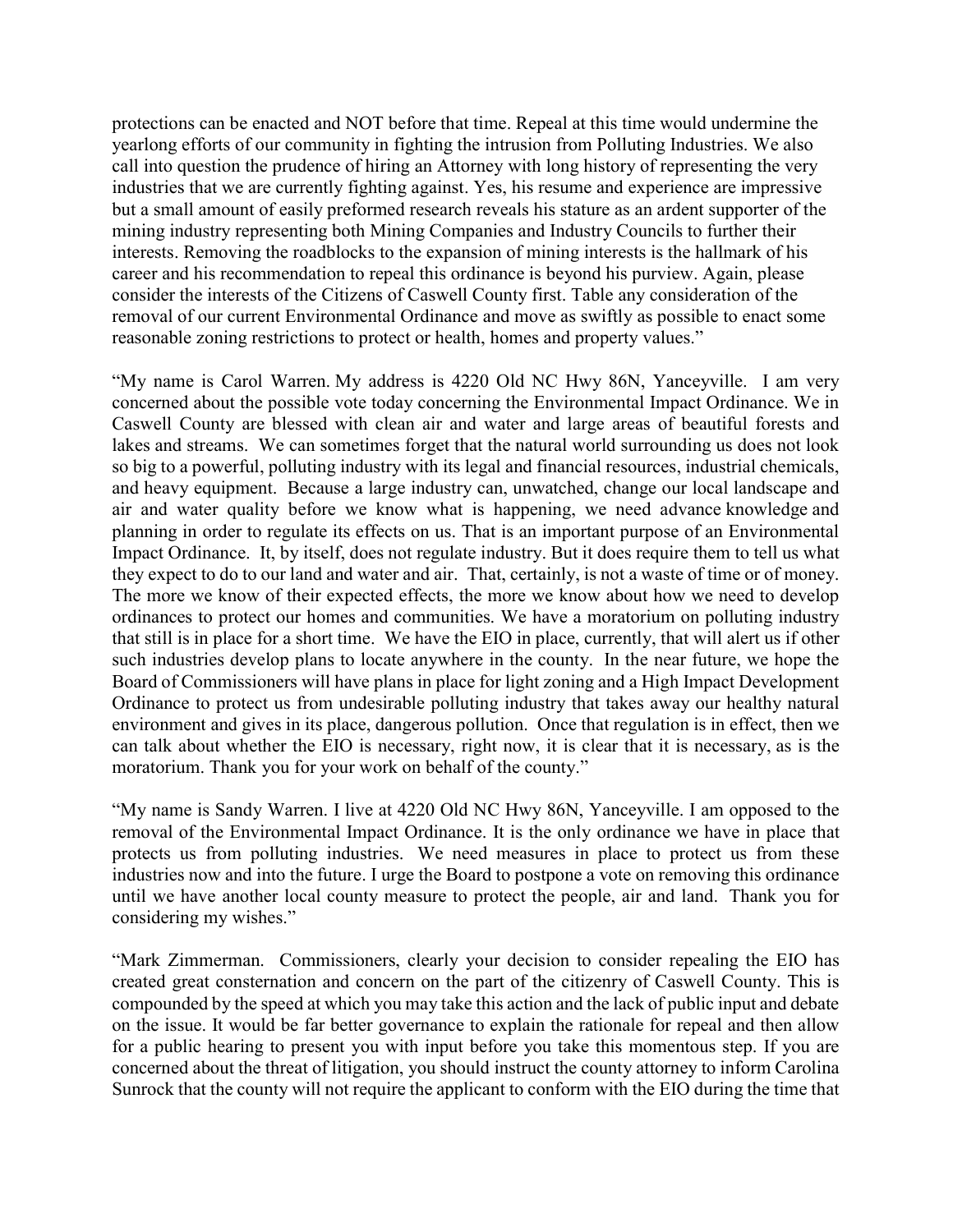protections can be enacted and NOT before that time. Repeal at this time would undermine the yearlong efforts of our community in fighting the intrusion from Polluting Industries. We also call into question the prudence of hiring an Attorney with long history of representing the very industries that we are currently fighting against. Yes, his resume and experience are impressive but a small amount of easily preformed research reveals his stature as an ardent supporter of the mining industry representing both Mining Companies and Industry Councils to further their interests. Removing the roadblocks to the expansion of mining interests is the hallmark of his career and his recommendation to repeal this ordinance is beyond his purview. Again, please consider the interests of the Citizens of Caswell County first. Table any consideration of the removal of our current Environmental Ordinance and move as swiftly as possible to enact some reasonable zoning restrictions to protect or health, homes and property values."

"My name is Carol Warren. My address is 4220 Old NC Hwy 86N, Yanceyville. I am very concerned about the possible vote today concerning the Environmental Impact Ordinance. We in Caswell County are blessed with clean air and water and large areas of beautiful forests and lakes and streams. We can sometimes forget that the natural world surrounding us does not look so big to a powerful, polluting industry with its legal and financial resources, industrial chemicals, and heavy equipment. Because a large industry can, unwatched, change our local landscape and air and water quality before we know what is happening, we need advance knowledge and planning in order to regulate its effects on us. That is an important purpose of an Environmental Impact Ordinance. It, by itself, does not regulate industry. But it does require them to tell us what they expect to do to our land and water and air. That, certainly, is not a waste of time or of money. The more we know of their expected effects, the more we know about how we need to develop ordinances to protect our homes and communities. We have a moratorium on polluting industry that still is in place for a short time. We have the EIO in place, currently, that will alert us if other such industries develop plans to locate anywhere in the county. In the near future, we hope the Board of Commissioners will have plans in place for light zoning and a High Impact Development Ordinance to protect us from undesirable polluting industry that takes away our healthy natural environment and gives in its place, dangerous pollution. Once that regulation is in effect, then we can talk about whether the EIO is necessary, right now, it is clear that it is necessary, as is the moratorium. Thank you for your work on behalf of the county."

"My name is Sandy Warren. I live at 4220 Old NC Hwy 86N, Yanceyville. I am opposed to the removal of the Environmental Impact Ordinance. It is the only ordinance we have in place that protects us from polluting industries. We need measures in place to protect us from these industries now and into the future. I urge the Board to postpone a vote on removing this ordinance until we have another local county measure to protect the people, air and land. Thank you for considering my wishes."

"Mark Zimmerman. Commissioners, clearly your decision to consider repealing the EIO has created great consternation and concern on the part of the citizenry of Caswell County. This is compounded by the speed at which you may take this action and the lack of public input and debate on the issue. It would be far better governance to explain the rationale for repeal and then allow for a public hearing to present you with input before you take this momentous step. If you are concerned about the threat of litigation, you should instruct the county attorney to inform Carolina Sunrock that the county will not require the applicant to conform with the EIO during the time that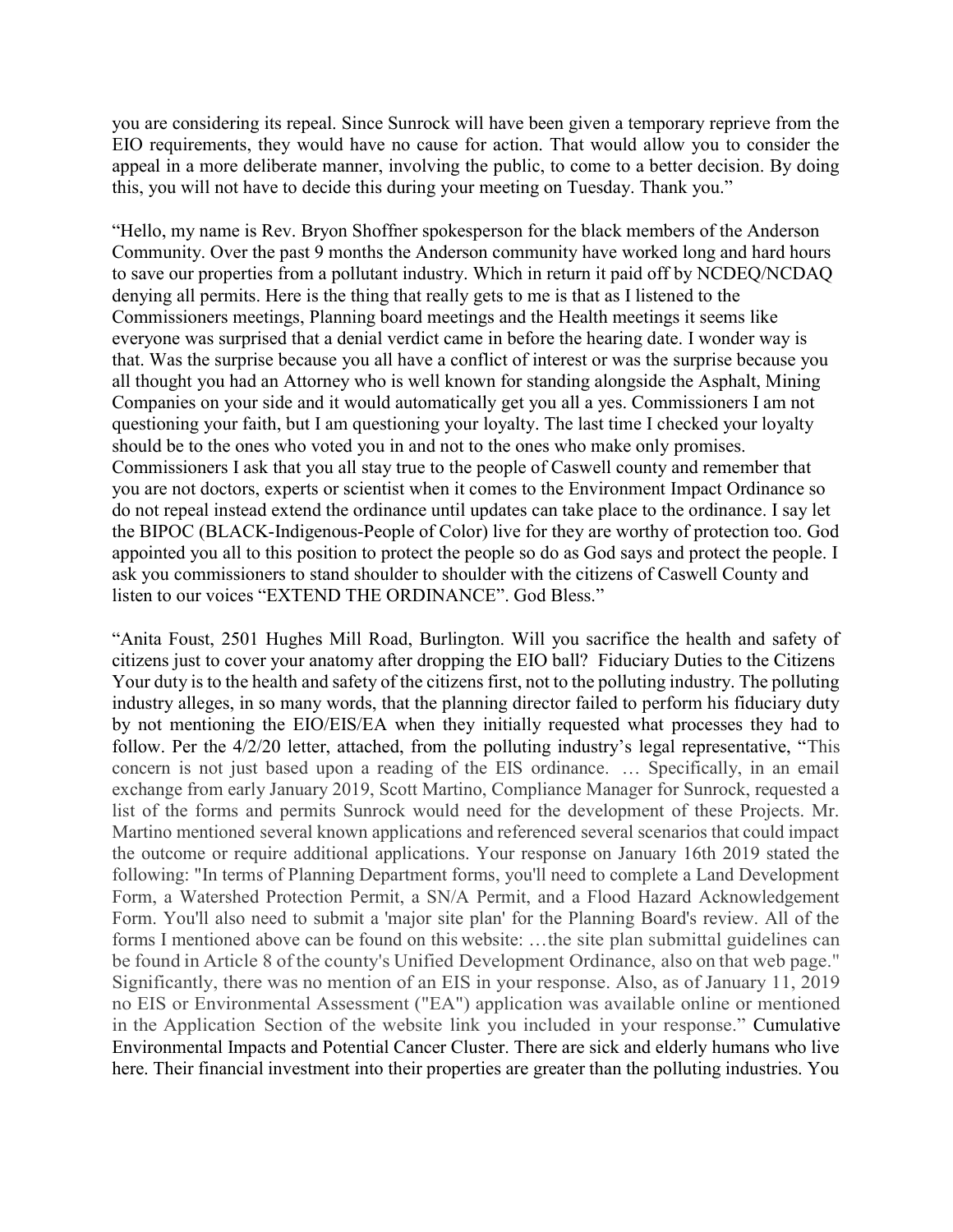you are considering its repeal. Since Sunrock will have been given a temporary reprieve from the EIO requirements, they would have no cause for action. That would allow you to consider the appeal in a more deliberate manner, involving the public, to come to a better decision. By doing this, you will not have to decide this during your meeting on Tuesday. Thank you."

"Hello, my name is Rev. Bryon Shoffner spokesperson for the black members of the Anderson Community. Over the past 9 months the Anderson community have worked long and hard hours to save our properties from a pollutant industry. Which in return it paid off by NCDEQ/NCDAQ denying all permits. Here is the thing that really gets to me is that as I listened to the Commissioners meetings, Planning board meetings and the Health meetings it seems like everyone was surprised that a denial verdict came in before the hearing date. I wonder way is that. Was the surprise because you all have a conflict of interest or was the surprise because you all thought you had an Attorney who is well known for standing alongside the Asphalt, Mining Companies on your side and it would automatically get you all a yes. Commissioners I am not questioning your faith, but I am questioning your loyalty. The last time I checked your loyalty should be to the ones who voted you in and not to the ones who make only promises. Commissioners I ask that you all stay true to the people of Caswell county and remember that you are not doctors, experts or scientist when it comes to the Environment Impact Ordinance so do not repeal instead extend the ordinance until updates can take place to the ordinance. I say let the BIPOC (BLACK-Indigenous-People of Color) live for they are worthy of protection too. God appointed you all to this position to protect the people so do as God says and protect the people. I ask you commissioners to stand shoulder to shoulder with the citizens of Caswell County and listen to our voices "EXTEND THE ORDINANCE". God Bless."

"Anita Foust, 2501 Hughes Mill Road, Burlington. Will you sacrifice the health and safety of citizens just to cover your anatomy after dropping the EIO ball? Fiduciary Duties to the Citizens Your duty is to the health and safety of the citizens first, not to the polluting industry. The polluting industry alleges, in so many words, that the planning director failed to perform his fiduciary duty by not mentioning the EIO/EIS/EA when they initially requested what processes they had to follow. Per the 4/2/20 letter, attached, from the polluting industry's legal representative, "This concern is not just based upon a reading of the EIS ordinance. … Specifically, in an email exchange from early January 2019, Scott Martino, Compliance Manager for Sunrock, requested a list of the forms and permits Sunrock would need for the development of these Projects. Mr. Martino mentioned several known applications and referenced several scenarios that could impact the outcome or require additional applications. Your response on January 16th 2019 stated the following: "In terms of Planning Department forms, you'll need to complete a Land Development Form, a Watershed Protection Permit, a SN/A Permit, and a Flood Hazard Acknowledgement Form. You'll also need to submit a 'major site plan' for the Planning Board's review. All of the forms I mentioned above can be found on this website: …the site plan submittal guidelines can be found in Article 8 of the county's Unified Development Ordinance, also on that web page." Significantly, there was no mention of an EIS in your response. Also, as of January 11, 2019 no EIS or Environmental Assessment ("EA") application was available online or mentioned in the Application Section of the website link you included in your response." Cumulative Environmental Impacts and Potential Cancer Cluster. There are sick and elderly humans who live here. Their financial investment into their properties are greater than the polluting industries. You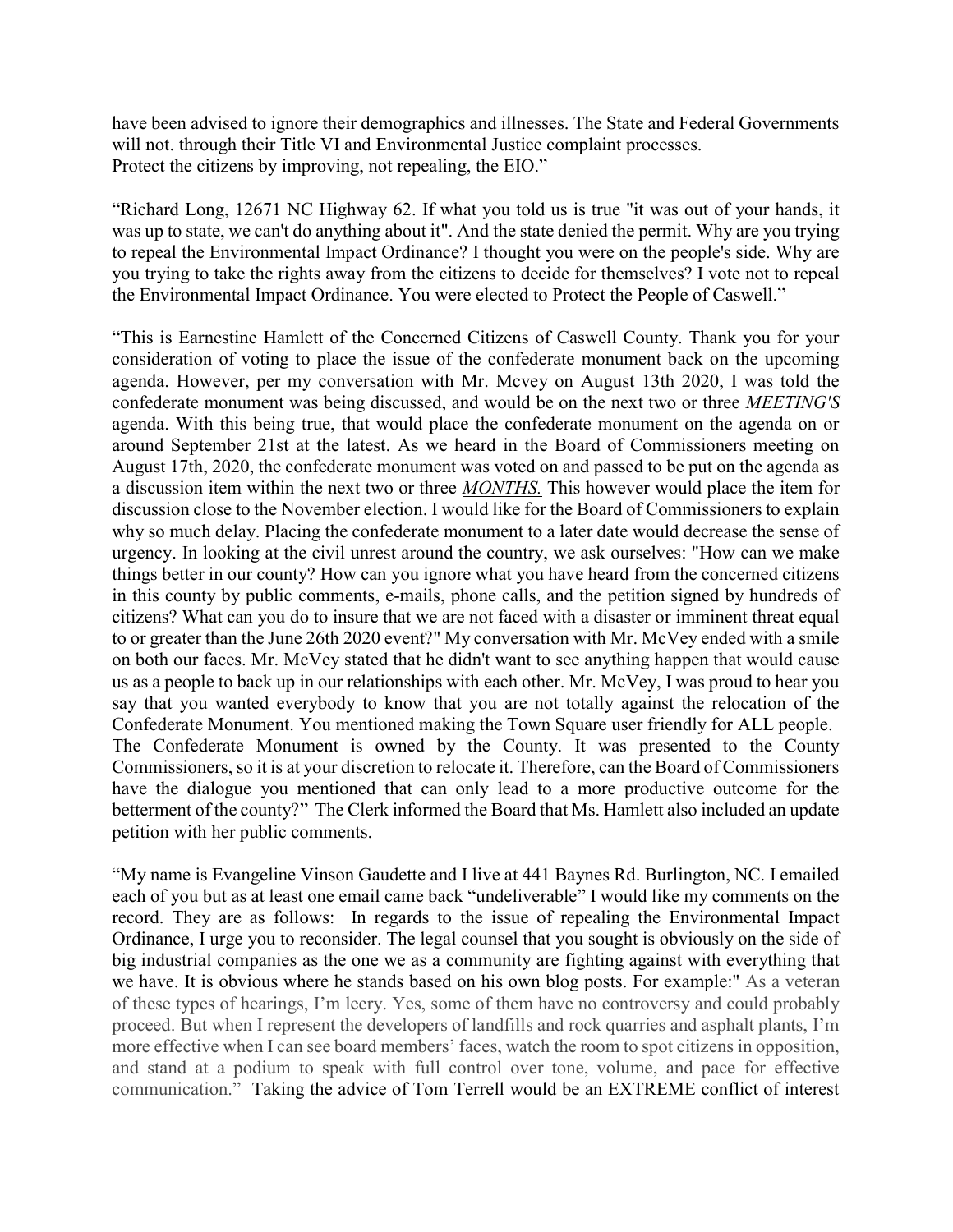have been advised to ignore their demographics and illnesses. The State and Federal Governments will not. through their Title VI and Environmental Justice complaint processes. Protect the citizens by improving, not repealing, the EIO."

"Richard Long, 12671 NC Highway 62. If what you told us is true "it was out of your hands, it was up to state, we can't do anything about it". And the state denied the permit. Why are you trying to repeal the Environmental Impact Ordinance? I thought you were on the people's side. Why are you trying to take the rights away from the citizens to decide for themselves? I vote not to repeal the Environmental Impact Ordinance. You were elected to Protect the People of Caswell."

"This is Earnestine Hamlett of the Concerned Citizens of Caswell County. Thank you for your consideration of voting to place the issue of the confederate monument back on the upcoming agenda. However, per my conversation with Mr. Mcvey on August 13th 2020, I was told the confederate monument was being discussed, and would be on the next two or three MEETING'S agenda. With this being true, that would place the confederate monument on the agenda on or around September 21st at the latest. As we heard in the Board of Commissioners meeting on August 17th, 2020, the confederate monument was voted on and passed to be put on the agenda as a discussion item within the next two or three MONTHS. This however would place the item for discussion close to the November election. I would like for the Board of Commissioners to explain why so much delay. Placing the confederate monument to a later date would decrease the sense of urgency. In looking at the civil unrest around the country, we ask ourselves: "How can we make things better in our county? How can you ignore what you have heard from the concerned citizens in this county by public comments, e-mails, phone calls, and the petition signed by hundreds of citizens? What can you do to insure that we are not faced with a disaster or imminent threat equal to or greater than the June 26th 2020 event?" My conversation with Mr. McVey ended with a smile on both our faces. Mr. McVey stated that he didn't want to see anything happen that would cause us as a people to back up in our relationships with each other. Mr. McVey, I was proud to hear you say that you wanted everybody to know that you are not totally against the relocation of the Confederate Monument. You mentioned making the Town Square user friendly for ALL people. The Confederate Monument is owned by the County. It was presented to the County Commissioners, so it is at your discretion to relocate it. Therefore, can the Board of Commissioners have the dialogue you mentioned that can only lead to a more productive outcome for the betterment of the county?" The Clerk informed the Board that Ms. Hamlett also included an update petition with her public comments.

"My name is Evangeline Vinson Gaudette and I live at 441 Baynes Rd. Burlington, NC. I emailed each of you but as at least one email came back "undeliverable" I would like my comments on the record. They are as follows: In regards to the issue of repealing the Environmental Impact Ordinance, I urge you to reconsider. The legal counsel that you sought is obviously on the side of big industrial companies as the one we as a community are fighting against with everything that we have. It is obvious where he stands based on his own blog posts. For example:" As a veteran of these types of hearings, I'm leery. Yes, some of them have no controversy and could probably proceed. But when I represent the developers of landfills and rock quarries and asphalt plants, I'm more effective when I can see board members' faces, watch the room to spot citizens in opposition, and stand at a podium to speak with full control over tone, volume, and pace for effective communication." Taking the advice of Tom Terrell would be an EXTREME conflict of interest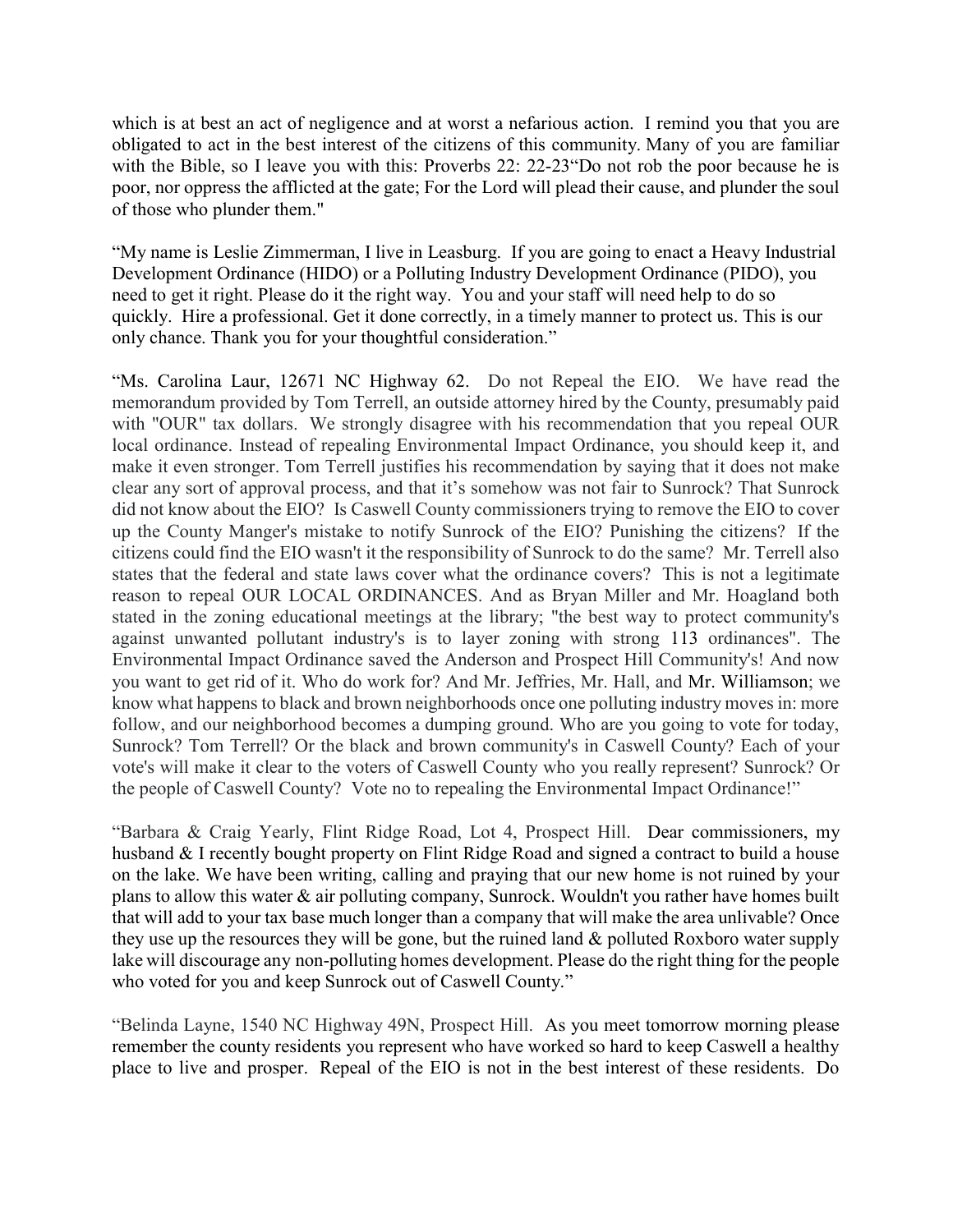which is at best an act of negligence and at worst a nefarious action. I remind you that you are obligated to act in the best interest of the citizens of this community. Many of you are familiar with the Bible, so I leave you with this: Proverbs 22: 22-23 Do not rob the poor because he is poor, nor oppress the afflicted at the gate; For the Lord will plead their cause, and plunder the soul of those who plunder them."

"My name is Leslie Zimmerman, I live in Leasburg. If you are going to enact a Heavy Industrial Development Ordinance (HIDO) or a Polluting Industry Development Ordinance (PIDO), you need to get it right. Please do it the right way. You and your staff will need help to do so quickly. Hire a professional. Get it done correctly, in a timely manner to protect us. This is our only chance. Thank you for your thoughtful consideration."

"Ms. Carolina Laur, 12671 NC Highway 62. Do not Repeal the EIO. We have read the memorandum provided by Tom Terrell, an outside attorney hired by the County, presumably paid with "OUR" tax dollars. We strongly disagree with his recommendation that you repeal OUR local ordinance. Instead of repealing Environmental Impact Ordinance, you should keep it, and make it even stronger. Tom Terrell justifies his recommendation by saying that it does not make clear any sort of approval process, and that it's somehow was not fair to Sunrock? That Sunrock did not know about the EIO? Is Caswell County commissioners trying to remove the EIO to cover up the County Manger's mistake to notify Sunrock of the EIO? Punishing the citizens? If the citizens could find the EIO wasn't it the responsibility of Sunrock to do the same? Mr. Terrell also states that the federal and state laws cover what the ordinance covers? This is not a legitimate reason to repeal OUR LOCAL ORDINANCES. And as Bryan Miller and Mr. Hoagland both stated in the zoning educational meetings at the library; "the best way to protect community's against unwanted pollutant industry's is to layer zoning with strong 113 ordinances". The Environmental Impact Ordinance saved the Anderson and Prospect Hill Community's! And now you want to get rid of it. Who do work for? And Mr. Jeffries, Mr. Hall, and Mr. Williamson; we know what happens to black and brown neighborhoods once one polluting industry moves in: more follow, and our neighborhood becomes a dumping ground. Who are you going to vote for today, Sunrock? Tom Terrell? Or the black and brown community's in Caswell County? Each of your vote's will make it clear to the voters of Caswell County who you really represent? Sunrock? Or the people of Caswell County? Vote no to repealing the Environmental Impact Ordinance!"

"Barbara & Craig Yearly, Flint Ridge Road, Lot 4, Prospect Hill. Dear commissioners, my husband & I recently bought property on Flint Ridge Road and signed a contract to build a house on the lake. We have been writing, calling and praying that our new home is not ruined by your plans to allow this water & air polluting company, Sunrock. Wouldn't you rather have homes built that will add to your tax base much longer than a company that will make the area unlivable? Once they use up the resources they will be gone, but the ruined land & polluted Roxboro water supply lake will discourage any non-polluting homes development. Please do the right thing for the people who voted for you and keep Sunrock out of Caswell County."

"Belinda Layne, 1540 NC Highway 49N, Prospect Hill. As you meet tomorrow morning please remember the county residents you represent who have worked so hard to keep Caswell a healthy place to live and prosper. Repeal of the EIO is not in the best interest of these residents. Do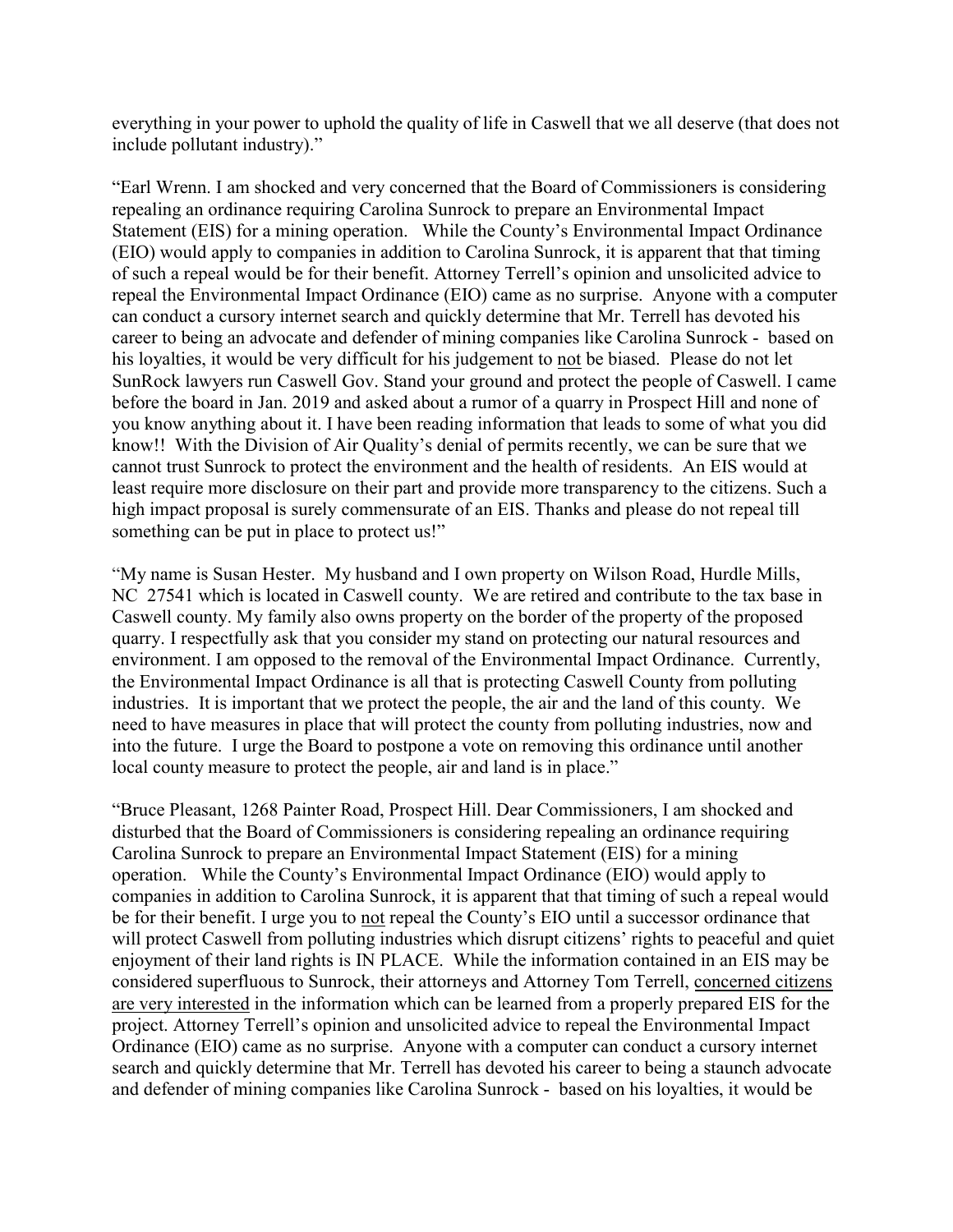everything in your power to uphold the quality of life in Caswell that we all deserve (that does not include pollutant industry)."

"Earl Wrenn. I am shocked and very concerned that the Board of Commissioners is considering repealing an ordinance requiring Carolina Sunrock to prepare an Environmental Impact Statement (EIS) for a mining operation. While the County's Environmental Impact Ordinance (EIO) would apply to companies in addition to Carolina Sunrock, it is apparent that that timing of such a repeal would be for their benefit. Attorney Terrell's opinion and unsolicited advice to repeal the Environmental Impact Ordinance (EIO) came as no surprise. Anyone with a computer can conduct a cursory internet search and quickly determine that Mr. Terrell has devoted his career to being an advocate and defender of mining companies like Carolina Sunrock - based on his loyalties, it would be very difficult for his judgement to not be biased. Please do not let SunRock lawyers run Caswell Gov. Stand your ground and protect the people of Caswell. I came before the board in Jan. 2019 and asked about a rumor of a quarry in Prospect Hill and none of you know anything about it. I have been reading information that leads to some of what you did know!! With the Division of Air Quality's denial of permits recently, we can be sure that we cannot trust Sunrock to protect the environment and the health of residents. An EIS would at least require more disclosure on their part and provide more transparency to the citizens. Such a high impact proposal is surely commensurate of an EIS. Thanks and please do not repeal till something can be put in place to protect us!"

"My name is Susan Hester. My husband and I own property on Wilson Road, Hurdle Mills, NC 27541 which is located in Caswell county. We are retired and contribute to the tax base in Caswell county. My family also owns property on the border of the property of the proposed quarry. I respectfully ask that you consider my stand on protecting our natural resources and environment. I am opposed to the removal of the Environmental Impact Ordinance. Currently, the Environmental Impact Ordinance is all that is protecting Caswell County from polluting industries. It is important that we protect the people, the air and the land of this county. We need to have measures in place that will protect the county from polluting industries, now and into the future. I urge the Board to postpone a vote on removing this ordinance until another local county measure to protect the people, air and land is in place."

"Bruce Pleasant, 1268 Painter Road, Prospect Hill. Dear Commissioners, I am shocked and disturbed that the Board of Commissioners is considering repealing an ordinance requiring Carolina Sunrock to prepare an Environmental Impact Statement (EIS) for a mining operation. While the County's Environmental Impact Ordinance (EIO) would apply to companies in addition to Carolina Sunrock, it is apparent that that timing of such a repeal would be for their benefit. I urge you to not repeal the County's EIO until a successor ordinance that will protect Caswell from polluting industries which disrupt citizens' rights to peaceful and quiet enjoyment of their land rights is IN PLACE. While the information contained in an EIS may be considered superfluous to Sunrock, their attorneys and Attorney Tom Terrell, concerned citizens are very interested in the information which can be learned from a properly prepared EIS for the project. Attorney Terrell's opinion and unsolicited advice to repeal the Environmental Impact Ordinance (EIO) came as no surprise. Anyone with a computer can conduct a cursory internet search and quickly determine that Mr. Terrell has devoted his career to being a staunch advocate and defender of mining companies like Carolina Sunrock - based on his loyalties, it would be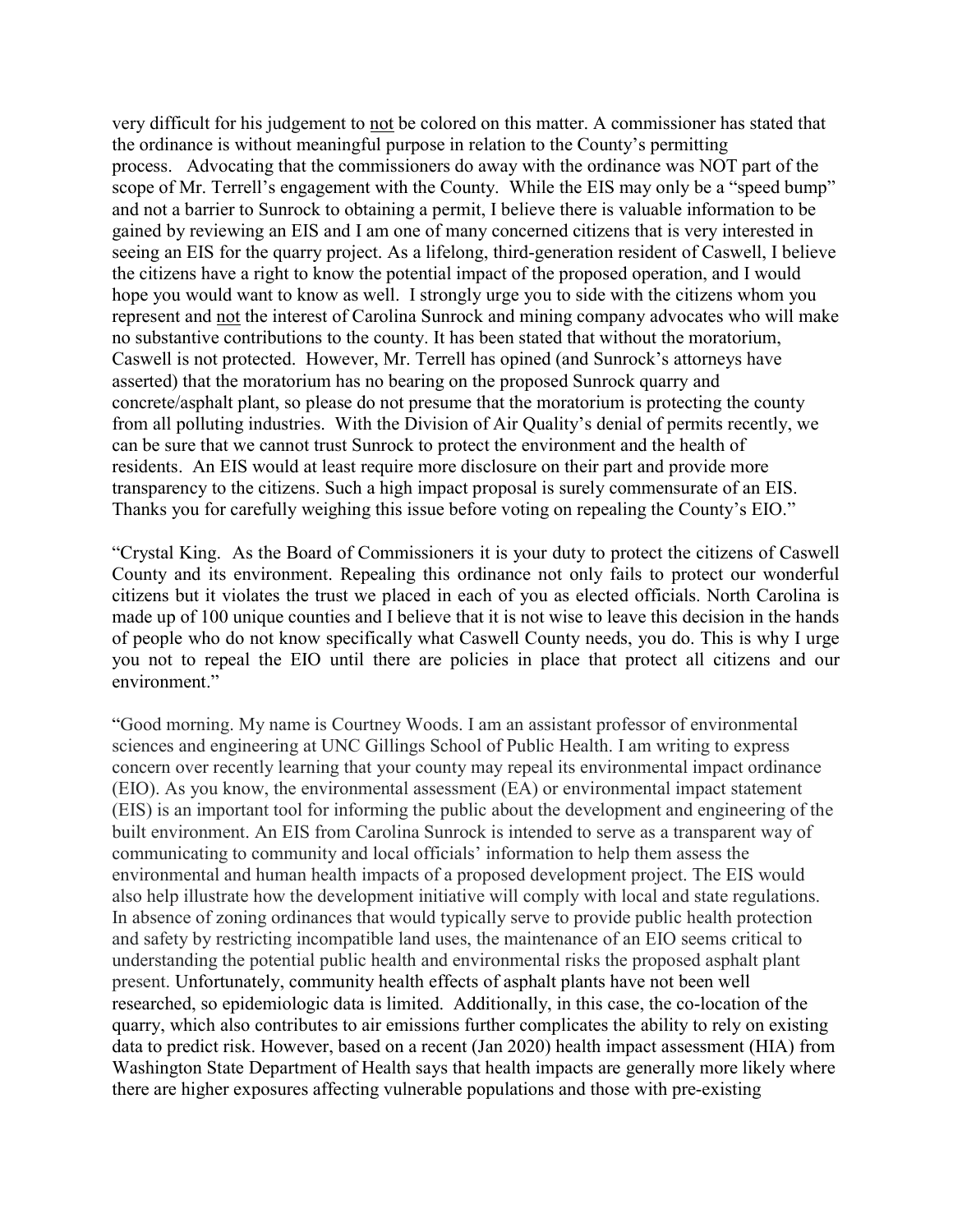very difficult for his judgement to not be colored on this matter. A commissioner has stated that the ordinance is without meaningful purpose in relation to the County's permitting process. Advocating that the commissioners do away with the ordinance was NOT part of the scope of Mr. Terrell's engagement with the County. While the EIS may only be a "speed bump" and not a barrier to Sunrock to obtaining a permit, I believe there is valuable information to be gained by reviewing an EIS and I am one of many concerned citizens that is very interested in seeing an EIS for the quarry project. As a lifelong, third-generation resident of Caswell, I believe the citizens have a right to know the potential impact of the proposed operation, and I would hope you would want to know as well. I strongly urge you to side with the citizens whom you represent and not the interest of Carolina Sunrock and mining company advocates who will make no substantive contributions to the county. It has been stated that without the moratorium, Caswell is not protected. However, Mr. Terrell has opined (and Sunrock's attorneys have asserted) that the moratorium has no bearing on the proposed Sunrock quarry and concrete/asphalt plant, so please do not presume that the moratorium is protecting the county from all polluting industries. With the Division of Air Quality's denial of permits recently, we can be sure that we cannot trust Sunrock to protect the environment and the health of residents. An EIS would at least require more disclosure on their part and provide more transparency to the citizens. Such a high impact proposal is surely commensurate of an EIS. Thanks you for carefully weighing this issue before voting on repealing the County's EIO."

"Crystal King. As the Board of Commissioners it is your duty to protect the citizens of Caswell County and its environment. Repealing this ordinance not only fails to protect our wonderful citizens but it violates the trust we placed in each of you as elected officials. North Carolina is made up of 100 unique counties and I believe that it is not wise to leave this decision in the hands of people who do not know specifically what Caswell County needs, you do. This is why I urge you not to repeal the EIO until there are policies in place that protect all citizens and our environment."

"Good morning. My name is Courtney Woods. I am an assistant professor of environmental sciences and engineering at UNC Gillings School of Public Health. I am writing to express concern over recently learning that your county may repeal its environmental impact ordinance (EIO). As you know, the environmental assessment (EA) or environmental impact statement (EIS) is an important tool for informing the public about the development and engineering of the built environment. An EIS from Carolina Sunrock is intended to serve as a transparent way of communicating to community and local officials' information to help them assess the environmental and human health impacts of a proposed development project. The EIS would also help illustrate how the development initiative will comply with local and state regulations. In absence of zoning ordinances that would typically serve to provide public health protection and safety by restricting incompatible land uses, the maintenance of an EIO seems critical to understanding the potential public health and environmental risks the proposed asphalt plant present. Unfortunately, community health effects of asphalt plants have not been well researched, so epidemiologic data is limited. Additionally, in this case, the co-location of the quarry, which also contributes to air emissions further complicates the ability to rely on existing data to predict risk. However, based on a recent (Jan 2020) health impact assessment (HIA) from Washington State Department of Health says that health impacts are generally more likely where there are higher exposures affecting vulnerable populations and those with pre-existing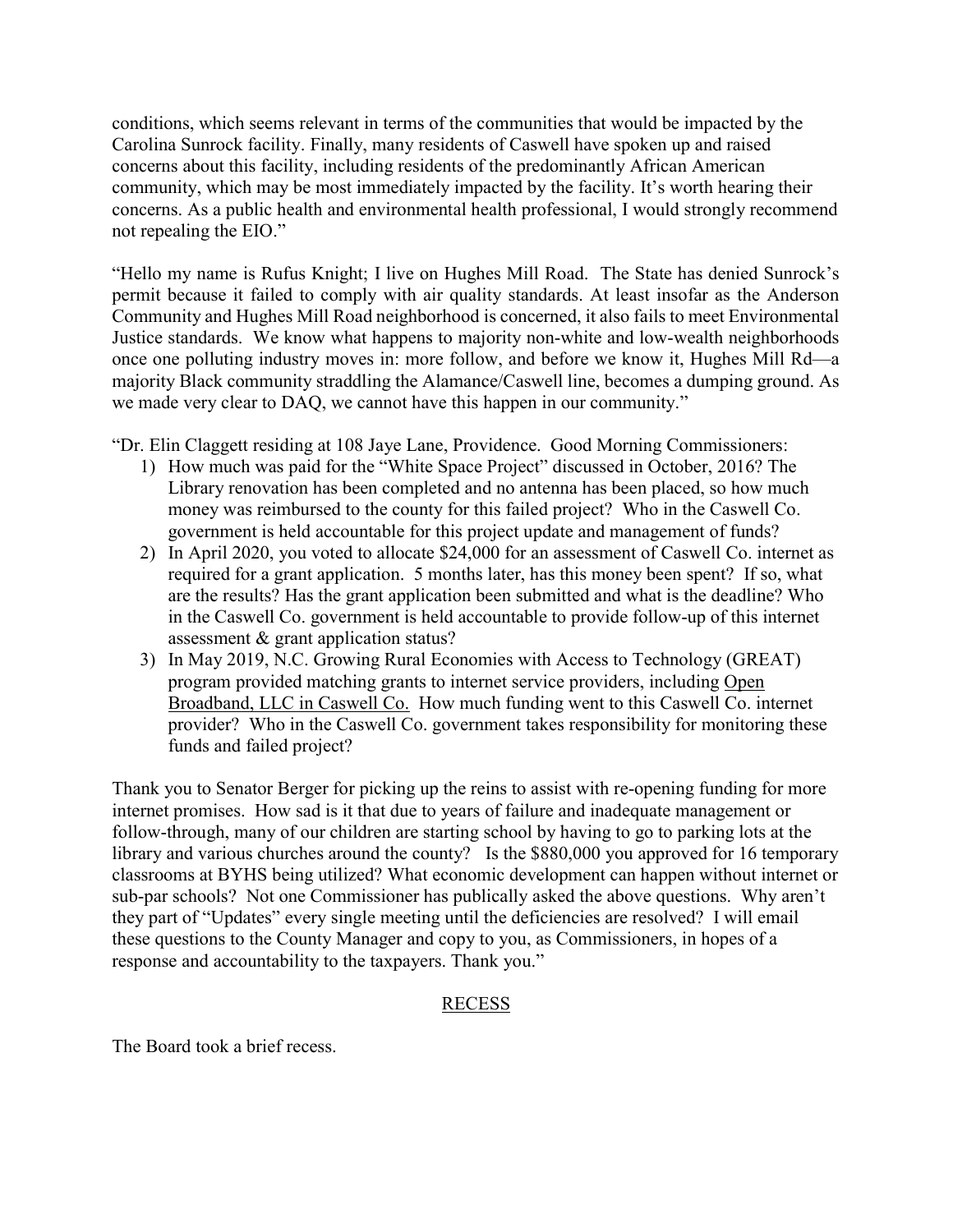conditions, which seems relevant in terms of the communities that would be impacted by the Carolina Sunrock facility. Finally, many residents of Caswell have spoken up and raised concerns about this facility, including residents of the predominantly African American community, which may be most immediately impacted by the facility. It's worth hearing their concerns. As a public health and environmental health professional, I would strongly recommend not repealing the EIO."

"Hello my name is Rufus Knight; I live on Hughes Mill Road. The State has denied Sunrock's permit because it failed to comply with air quality standards. At least insofar as the Anderson Community and Hughes Mill Road neighborhood is concerned, it also fails to meet Environmental Justice standards. We know what happens to majority non-white and low-wealth neighborhoods once one polluting industry moves in: more follow, and before we know it, Hughes Mill Rd—a majority Black community straddling the Alamance/Caswell line, becomes a dumping ground. As we made very clear to DAQ, we cannot have this happen in our community."

"Dr. Elin Claggett residing at 108 Jaye Lane, Providence. Good Morning Commissioners:

- 1) How much was paid for the "White Space Project" discussed in October, 2016? The Library renovation has been completed and no antenna has been placed, so how much money was reimbursed to the county for this failed project? Who in the Caswell Co. government is held accountable for this project update and management of funds?
- 2) In April 2020, you voted to allocate \$24,000 for an assessment of Caswell Co. internet as required for a grant application. 5 months later, has this money been spent? If so, what are the results? Has the grant application been submitted and what is the deadline? Who in the Caswell Co. government is held accountable to provide follow-up of this internet assessment & grant application status?
- 3) In May 2019, N.C. Growing Rural Economies with Access to Technology (GREAT) program provided matching grants to internet service providers, including Open Broadband, LLC in Caswell Co. How much funding went to this Caswell Co. internet provider? Who in the Caswell Co. government takes responsibility for monitoring these funds and failed project?

Thank you to Senator Berger for picking up the reins to assist with re-opening funding for more internet promises. How sad is it that due to years of failure and inadequate management or follow-through, many of our children are starting school by having to go to parking lots at the library and various churches around the county? Is the \$880,000 you approved for 16 temporary classrooms at BYHS being utilized? What economic development can happen without internet or sub-par schools? Not one Commissioner has publically asked the above questions. Why aren't they part of "Updates" every single meeting until the deficiencies are resolved? I will email these questions to the County Manager and copy to you, as Commissioners, in hopes of a response and accountability to the taxpayers. Thank you."

## RECESS

The Board took a brief recess.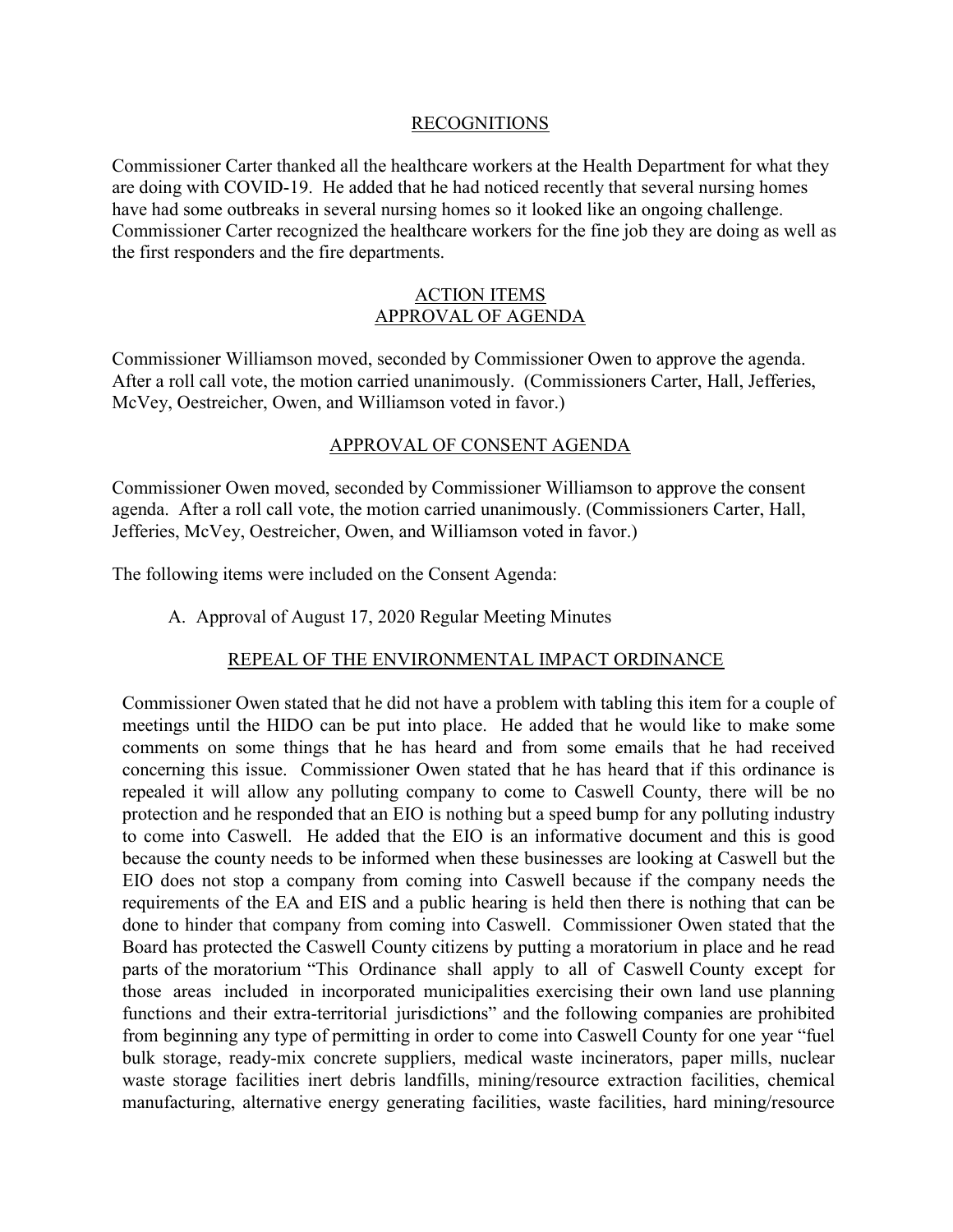### RECOGNITIONS

Commissioner Carter thanked all the healthcare workers at the Health Department for what they are doing with COVID-19. He added that he had noticed recently that several nursing homes have had some outbreaks in several nursing homes so it looked like an ongoing challenge. Commissioner Carter recognized the healthcare workers for the fine job they are doing as well as the first responders and the fire departments.

### ACTION ITEMS APPROVAL OF AGENDA

Commissioner Williamson moved, seconded by Commissioner Owen to approve the agenda. After a roll call vote, the motion carried unanimously. (Commissioners Carter, Hall, Jefferies, McVey, Oestreicher, Owen, and Williamson voted in favor.)

## APPROVAL OF CONSENT AGENDA

Commissioner Owen moved, seconded by Commissioner Williamson to approve the consent agenda. After a roll call vote, the motion carried unanimously. (Commissioners Carter, Hall, Jefferies, McVey, Oestreicher, Owen, and Williamson voted in favor.)

The following items were included on the Consent Agenda:

A. Approval of August 17, 2020 Regular Meeting Minutes

## REPEAL OF THE ENVIRONMENTAL IMPACT ORDINANCE

Commissioner Owen stated that he did not have a problem with tabling this item for a couple of meetings until the HIDO can be put into place. He added that he would like to make some comments on some things that he has heard and from some emails that he had received concerning this issue. Commissioner Owen stated that he has heard that if this ordinance is repealed it will allow any polluting company to come to Caswell County, there will be no protection and he responded that an EIO is nothing but a speed bump for any polluting industry to come into Caswell. He added that the EIO is an informative document and this is good because the county needs to be informed when these businesses are looking at Caswell but the EIO does not stop a company from coming into Caswell because if the company needs the requirements of the EA and EIS and a public hearing is held then there is nothing that can be done to hinder that company from coming into Caswell. Commissioner Owen stated that the Board has protected the Caswell County citizens by putting a moratorium in place and he read parts of the moratorium "This Ordinance shall apply to all of Caswell County except for those areas included in incorporated municipalities exercising their own land use planning functions and their extra-territorial jurisdictions" and the following companies are prohibited from beginning any type of permitting in order to come into Caswell County for one year "fuel bulk storage, ready-mix concrete suppliers, medical waste incinerators, paper mills, nuclear waste storage facilities inert debris landfills, mining/resource extraction facilities, chemical manufacturing, alternative energy generating facilities, waste facilities, hard mining/resource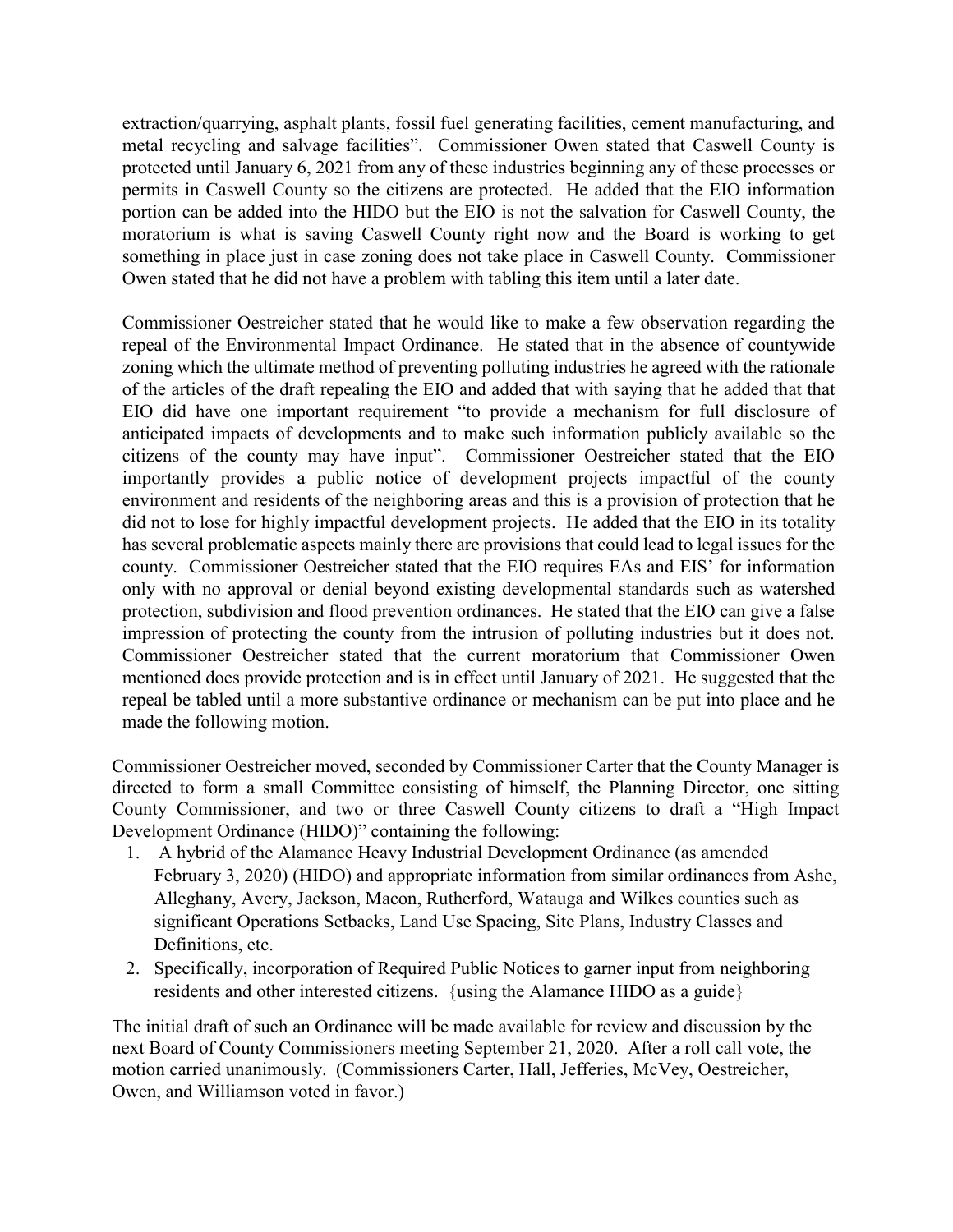extraction/quarrying, asphalt plants, fossil fuel generating facilities, cement manufacturing, and metal recycling and salvage facilities". Commissioner Owen stated that Caswell County is protected until January 6, 2021 from any of these industries beginning any of these processes or permits in Caswell County so the citizens are protected. He added that the EIO information portion can be added into the HIDO but the EIO is not the salvation for Caswell County, the moratorium is what is saving Caswell County right now and the Board is working to get something in place just in case zoning does not take place in Caswell County. Commissioner Owen stated that he did not have a problem with tabling this item until a later date.

Commissioner Oestreicher stated that he would like to make a few observation regarding the repeal of the Environmental Impact Ordinance. He stated that in the absence of countywide zoning which the ultimate method of preventing polluting industries he agreed with the rationale of the articles of the draft repealing the EIO and added that with saying that he added that that EIO did have one important requirement "to provide a mechanism for full disclosure of anticipated impacts of developments and to make such information publicly available so the citizens of the county may have input". Commissioner Oestreicher stated that the EIO importantly provides a public notice of development projects impactful of the county environment and residents of the neighboring areas and this is a provision of protection that he did not to lose for highly impactful development projects. He added that the EIO in its totality has several problematic aspects mainly there are provisions that could lead to legal issues for the county. Commissioner Oestreicher stated that the EIO requires EAs and EIS' for information only with no approval or denial beyond existing developmental standards such as watershed protection, subdivision and flood prevention ordinances. He stated that the EIO can give a false impression of protecting the county from the intrusion of polluting industries but it does not. Commissioner Oestreicher stated that the current moratorium that Commissioner Owen mentioned does provide protection and is in effect until January of 2021. He suggested that the repeal be tabled until a more substantive ordinance or mechanism can be put into place and he made the following motion.

Commissioner Oestreicher moved, seconded by Commissioner Carter that the County Manager is directed to form a small Committee consisting of himself, the Planning Director, one sitting County Commissioner, and two or three Caswell County citizens to draft a "High Impact Development Ordinance (HIDO)" containing the following:

- 1. A hybrid of the Alamance Heavy Industrial Development Ordinance (as amended February 3, 2020) (HIDO) and appropriate information from similar ordinances from Ashe, Alleghany, Avery, Jackson, Macon, Rutherford, Watauga and Wilkes counties such as significant Operations Setbacks, Land Use Spacing, Site Plans, Industry Classes and Definitions, etc.
- 2. Specifically, incorporation of Required Public Notices to garner input from neighboring residents and other interested citizens. {using the Alamance HIDO as a guide}

The initial draft of such an Ordinance will be made available for review and discussion by the next Board of County Commissioners meeting September 21, 2020. After a roll call vote, the motion carried unanimously. (Commissioners Carter, Hall, Jefferies, McVey, Oestreicher, Owen, and Williamson voted in favor.)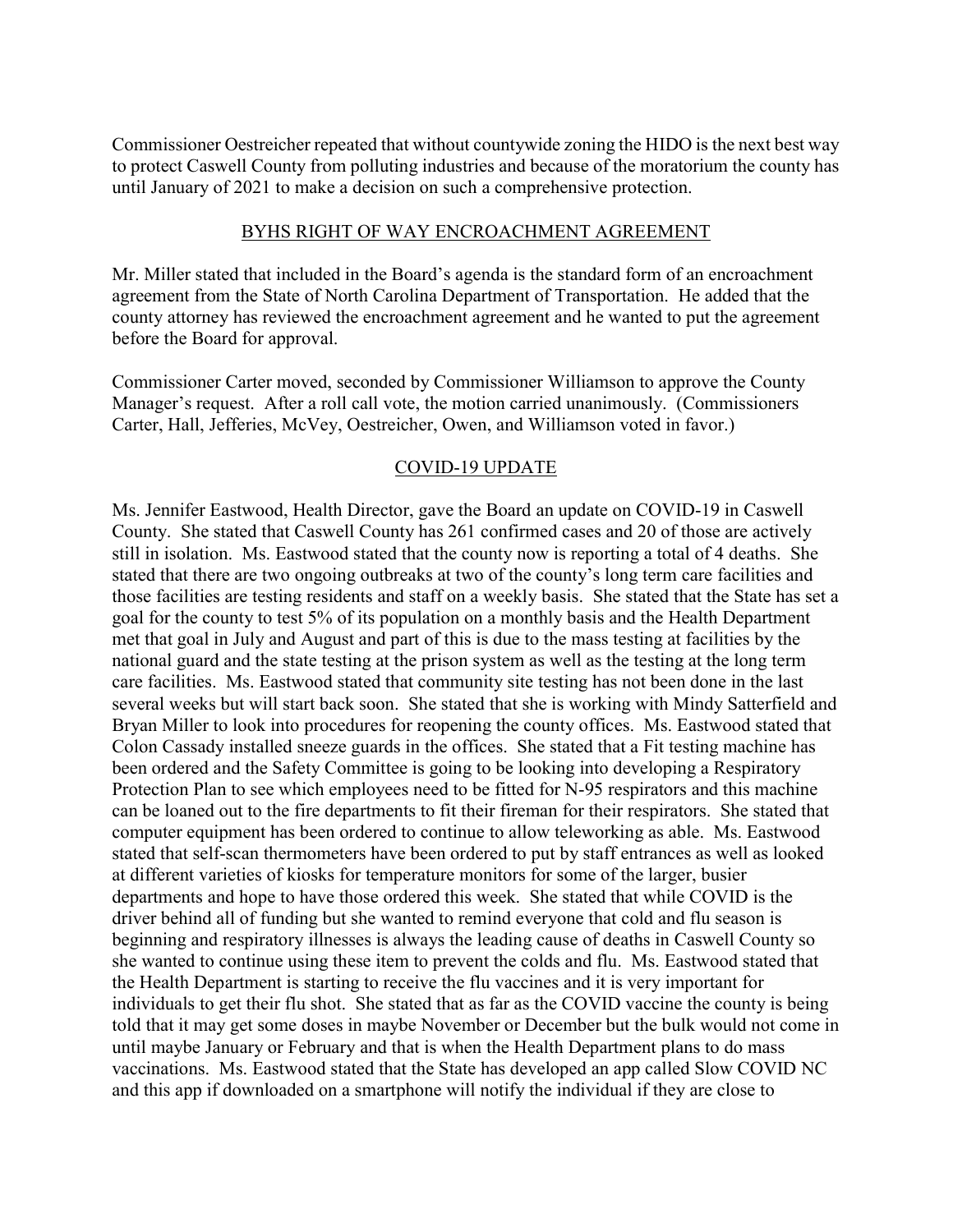Commissioner Oestreicher repeated that without countywide zoning the HIDO is the next best way to protect Caswell County from polluting industries and because of the moratorium the county has until January of 2021 to make a decision on such a comprehensive protection.

#### BYHS RIGHT OF WAY ENCROACHMENT AGREEMENT

Mr. Miller stated that included in the Board's agenda is the standard form of an encroachment agreement from the State of North Carolina Department of Transportation. He added that the county attorney has reviewed the encroachment agreement and he wanted to put the agreement before the Board for approval.

Commissioner Carter moved, seconded by Commissioner Williamson to approve the County Manager's request. After a roll call vote, the motion carried unanimously. (Commissioners Carter, Hall, Jefferies, McVey, Oestreicher, Owen, and Williamson voted in favor.)

### COVID-19 UPDATE

Ms. Jennifer Eastwood, Health Director, gave the Board an update on COVID-19 in Caswell County. She stated that Caswell County has 261 confirmed cases and 20 of those are actively still in isolation. Ms. Eastwood stated that the county now is reporting a total of 4 deaths. She stated that there are two ongoing outbreaks at two of the county's long term care facilities and those facilities are testing residents and staff on a weekly basis. She stated that the State has set a goal for the county to test 5% of its population on a monthly basis and the Health Department met that goal in July and August and part of this is due to the mass testing at facilities by the national guard and the state testing at the prison system as well as the testing at the long term care facilities. Ms. Eastwood stated that community site testing has not been done in the last several weeks but will start back soon. She stated that she is working with Mindy Satterfield and Bryan Miller to look into procedures for reopening the county offices. Ms. Eastwood stated that Colon Cassady installed sneeze guards in the offices. She stated that a Fit testing machine has been ordered and the Safety Committee is going to be looking into developing a Respiratory Protection Plan to see which employees need to be fitted for N-95 respirators and this machine can be loaned out to the fire departments to fit their fireman for their respirators. She stated that computer equipment has been ordered to continue to allow teleworking as able. Ms. Eastwood stated that self-scan thermometers have been ordered to put by staff entrances as well as looked at different varieties of kiosks for temperature monitors for some of the larger, busier departments and hope to have those ordered this week. She stated that while COVID is the driver behind all of funding but she wanted to remind everyone that cold and flu season is beginning and respiratory illnesses is always the leading cause of deaths in Caswell County so she wanted to continue using these item to prevent the colds and flu. Ms. Eastwood stated that the Health Department is starting to receive the flu vaccines and it is very important for individuals to get their flu shot. She stated that as far as the COVID vaccine the county is being told that it may get some doses in maybe November or December but the bulk would not come in until maybe January or February and that is when the Health Department plans to do mass vaccinations. Ms. Eastwood stated that the State has developed an app called Slow COVID NC and this app if downloaded on a smartphone will notify the individual if they are close to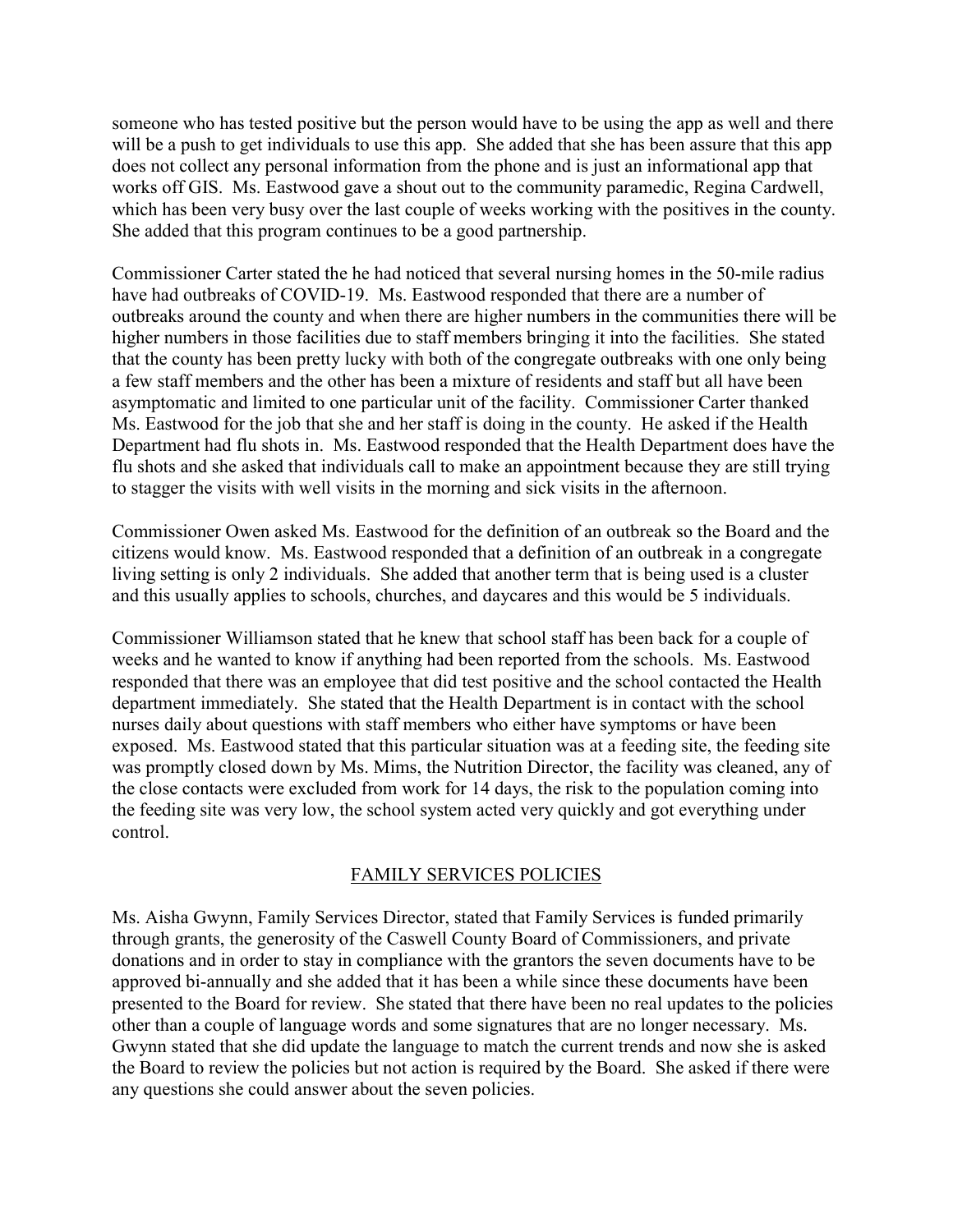someone who has tested positive but the person would have to be using the app as well and there will be a push to get individuals to use this app. She added that she has been assure that this app does not collect any personal information from the phone and is just an informational app that works off GIS. Ms. Eastwood gave a shout out to the community paramedic, Regina Cardwell, which has been very busy over the last couple of weeks working with the positives in the county. She added that this program continues to be a good partnership.

Commissioner Carter stated the he had noticed that several nursing homes in the 50-mile radius have had outbreaks of COVID-19. Ms. Eastwood responded that there are a number of outbreaks around the county and when there are higher numbers in the communities there will be higher numbers in those facilities due to staff members bringing it into the facilities. She stated that the county has been pretty lucky with both of the congregate outbreaks with one only being a few staff members and the other has been a mixture of residents and staff but all have been asymptomatic and limited to one particular unit of the facility. Commissioner Carter thanked Ms. Eastwood for the job that she and her staff is doing in the county. He asked if the Health Department had flu shots in. Ms. Eastwood responded that the Health Department does have the flu shots and she asked that individuals call to make an appointment because they are still trying to stagger the visits with well visits in the morning and sick visits in the afternoon.

Commissioner Owen asked Ms. Eastwood for the definition of an outbreak so the Board and the citizens would know. Ms. Eastwood responded that a definition of an outbreak in a congregate living setting is only 2 individuals. She added that another term that is being used is a cluster and this usually applies to schools, churches, and daycares and this would be 5 individuals.

Commissioner Williamson stated that he knew that school staff has been back for a couple of weeks and he wanted to know if anything had been reported from the schools. Ms. Eastwood responded that there was an employee that did test positive and the school contacted the Health department immediately. She stated that the Health Department is in contact with the school nurses daily about questions with staff members who either have symptoms or have been exposed. Ms. Eastwood stated that this particular situation was at a feeding site, the feeding site was promptly closed down by Ms. Mims, the Nutrition Director, the facility was cleaned, any of the close contacts were excluded from work for 14 days, the risk to the population coming into the feeding site was very low, the school system acted very quickly and got everything under control.

#### FAMILY SERVICES POLICIES

Ms. Aisha Gwynn, Family Services Director, stated that Family Services is funded primarily through grants, the generosity of the Caswell County Board of Commissioners, and private donations and in order to stay in compliance with the grantors the seven documents have to be approved bi-annually and she added that it has been a while since these documents have been presented to the Board for review. She stated that there have been no real updates to the policies other than a couple of language words and some signatures that are no longer necessary. Ms. Gwynn stated that she did update the language to match the current trends and now she is asked the Board to review the policies but not action is required by the Board. She asked if there were any questions she could answer about the seven policies.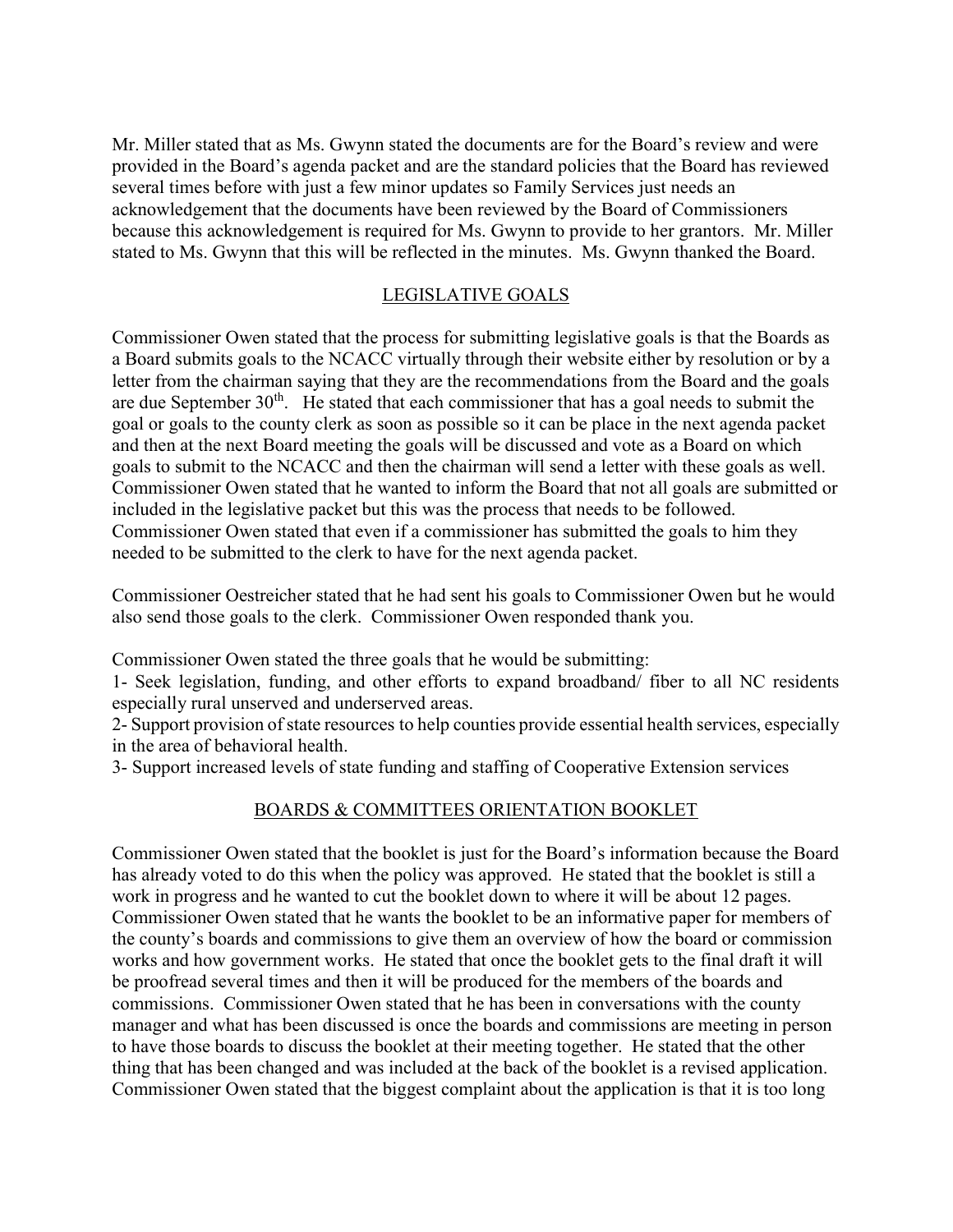Mr. Miller stated that as Ms. Gwynn stated the documents are for the Board's review and were provided in the Board's agenda packet and are the standard policies that the Board has reviewed several times before with just a few minor updates so Family Services just needs an acknowledgement that the documents have been reviewed by the Board of Commissioners because this acknowledgement is required for Ms. Gwynn to provide to her grantors. Mr. Miller stated to Ms. Gwynn that this will be reflected in the minutes. Ms. Gwynn thanked the Board.

### LEGISLATIVE GOALS

Commissioner Owen stated that the process for submitting legislative goals is that the Boards as a Board submits goals to the NCACC virtually through their website either by resolution or by a letter from the chairman saying that they are the recommendations from the Board and the goals are due September  $30<sup>th</sup>$ . He stated that each commissioner that has a goal needs to submit the goal or goals to the county clerk as soon as possible so it can be place in the next agenda packet and then at the next Board meeting the goals will be discussed and vote as a Board on which goals to submit to the NCACC and then the chairman will send a letter with these goals as well. Commissioner Owen stated that he wanted to inform the Board that not all goals are submitted or included in the legislative packet but this was the process that needs to be followed. Commissioner Owen stated that even if a commissioner has submitted the goals to him they needed to be submitted to the clerk to have for the next agenda packet.

Commissioner Oestreicher stated that he had sent his goals to Commissioner Owen but he would also send those goals to the clerk. Commissioner Owen responded thank you.

Commissioner Owen stated the three goals that he would be submitting:

1- Seek legislation, funding, and other efforts to expand broadband/ fiber to all NC residents especially rural unserved and underserved areas.

2- Support provision of state resources to help counties provide essential health services, especially in the area of behavioral health.

3- Support increased levels of state funding and staffing of Cooperative Extension services

### BOARDS & COMMITTEES ORIENTATION BOOKLET

Commissioner Owen stated that the booklet is just for the Board's information because the Board has already voted to do this when the policy was approved. He stated that the booklet is still a work in progress and he wanted to cut the booklet down to where it will be about 12 pages. Commissioner Owen stated that he wants the booklet to be an informative paper for members of the county's boards and commissions to give them an overview of how the board or commission works and how government works. He stated that once the booklet gets to the final draft it will be proofread several times and then it will be produced for the members of the boards and commissions. Commissioner Owen stated that he has been in conversations with the county manager and what has been discussed is once the boards and commissions are meeting in person to have those boards to discuss the booklet at their meeting together. He stated that the other thing that has been changed and was included at the back of the booklet is a revised application. Commissioner Owen stated that the biggest complaint about the application is that it is too long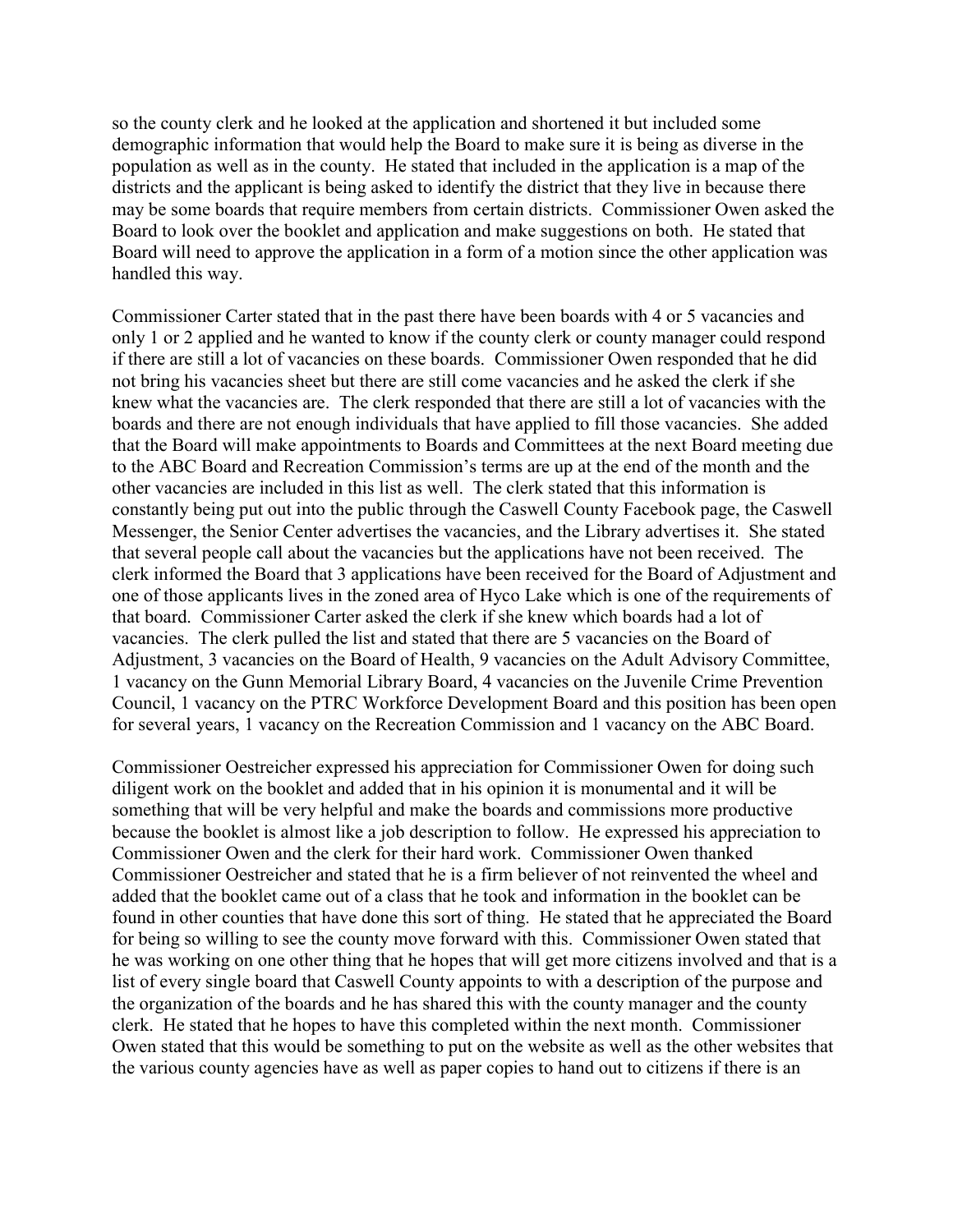so the county clerk and he looked at the application and shortened it but included some demographic information that would help the Board to make sure it is being as diverse in the population as well as in the county. He stated that included in the application is a map of the districts and the applicant is being asked to identify the district that they live in because there may be some boards that require members from certain districts. Commissioner Owen asked the Board to look over the booklet and application and make suggestions on both. He stated that Board will need to approve the application in a form of a motion since the other application was handled this way.

Commissioner Carter stated that in the past there have been boards with 4 or 5 vacancies and only 1 or 2 applied and he wanted to know if the county clerk or county manager could respond if there are still a lot of vacancies on these boards. Commissioner Owen responded that he did not bring his vacancies sheet but there are still come vacancies and he asked the clerk if she knew what the vacancies are. The clerk responded that there are still a lot of vacancies with the boards and there are not enough individuals that have applied to fill those vacancies. She added that the Board will make appointments to Boards and Committees at the next Board meeting due to the ABC Board and Recreation Commission's terms are up at the end of the month and the other vacancies are included in this list as well. The clerk stated that this information is constantly being put out into the public through the Caswell County Facebook page, the Caswell Messenger, the Senior Center advertises the vacancies, and the Library advertises it. She stated that several people call about the vacancies but the applications have not been received. The clerk informed the Board that 3 applications have been received for the Board of Adjustment and one of those applicants lives in the zoned area of Hyco Lake which is one of the requirements of that board. Commissioner Carter asked the clerk if she knew which boards had a lot of vacancies. The clerk pulled the list and stated that there are 5 vacancies on the Board of Adjustment, 3 vacancies on the Board of Health, 9 vacancies on the Adult Advisory Committee, 1 vacancy on the Gunn Memorial Library Board, 4 vacancies on the Juvenile Crime Prevention Council, 1 vacancy on the PTRC Workforce Development Board and this position has been open for several years, 1 vacancy on the Recreation Commission and 1 vacancy on the ABC Board.

Commissioner Oestreicher expressed his appreciation for Commissioner Owen for doing such diligent work on the booklet and added that in his opinion it is monumental and it will be something that will be very helpful and make the boards and commissions more productive because the booklet is almost like a job description to follow. He expressed his appreciation to Commissioner Owen and the clerk for their hard work. Commissioner Owen thanked Commissioner Oestreicher and stated that he is a firm believer of not reinvented the wheel and added that the booklet came out of a class that he took and information in the booklet can be found in other counties that have done this sort of thing. He stated that he appreciated the Board for being so willing to see the county move forward with this. Commissioner Owen stated that he was working on one other thing that he hopes that will get more citizens involved and that is a list of every single board that Caswell County appoints to with a description of the purpose and the organization of the boards and he has shared this with the county manager and the county clerk. He stated that he hopes to have this completed within the next month. Commissioner Owen stated that this would be something to put on the website as well as the other websites that the various county agencies have as well as paper copies to hand out to citizens if there is an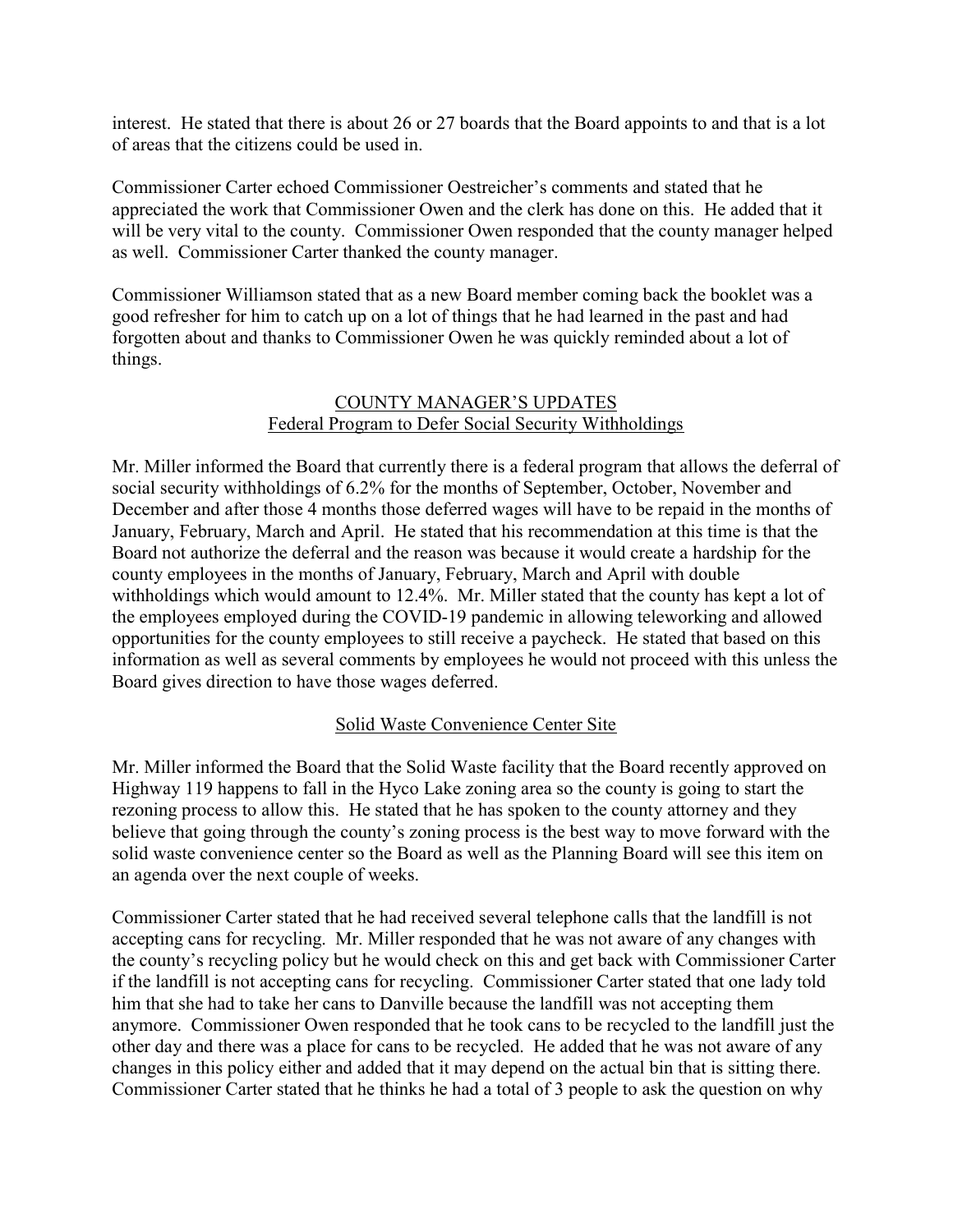interest. He stated that there is about 26 or 27 boards that the Board appoints to and that is a lot of areas that the citizens could be used in.

Commissioner Carter echoed Commissioner Oestreicher's comments and stated that he appreciated the work that Commissioner Owen and the clerk has done on this. He added that it will be very vital to the county. Commissioner Owen responded that the county manager helped as well. Commissioner Carter thanked the county manager.

Commissioner Williamson stated that as a new Board member coming back the booklet was a good refresher for him to catch up on a lot of things that he had learned in the past and had forgotten about and thanks to Commissioner Owen he was quickly reminded about a lot of things.

# COUNTY MANAGER'S UPDATES Federal Program to Defer Social Security Withholdings

Mr. Miller informed the Board that currently there is a federal program that allows the deferral of social security withholdings of 6.2% for the months of September, October, November and December and after those 4 months those deferred wages will have to be repaid in the months of January, February, March and April. He stated that his recommendation at this time is that the Board not authorize the deferral and the reason was because it would create a hardship for the county employees in the months of January, February, March and April with double withholdings which would amount to 12.4%. Mr. Miller stated that the county has kept a lot of the employees employed during the COVID-19 pandemic in allowing teleworking and allowed opportunities for the county employees to still receive a paycheck. He stated that based on this information as well as several comments by employees he would not proceed with this unless the Board gives direction to have those wages deferred.

## Solid Waste Convenience Center Site

Mr. Miller informed the Board that the Solid Waste facility that the Board recently approved on Highway 119 happens to fall in the Hyco Lake zoning area so the county is going to start the rezoning process to allow this. He stated that he has spoken to the county attorney and they believe that going through the county's zoning process is the best way to move forward with the solid waste convenience center so the Board as well as the Planning Board will see this item on an agenda over the next couple of weeks.

Commissioner Carter stated that he had received several telephone calls that the landfill is not accepting cans for recycling. Mr. Miller responded that he was not aware of any changes with the county's recycling policy but he would check on this and get back with Commissioner Carter if the landfill is not accepting cans for recycling. Commissioner Carter stated that one lady told him that she had to take her cans to Danville because the landfill was not accepting them anymore. Commissioner Owen responded that he took cans to be recycled to the landfill just the other day and there was a place for cans to be recycled. He added that he was not aware of any changes in this policy either and added that it may depend on the actual bin that is sitting there. Commissioner Carter stated that he thinks he had a total of 3 people to ask the question on why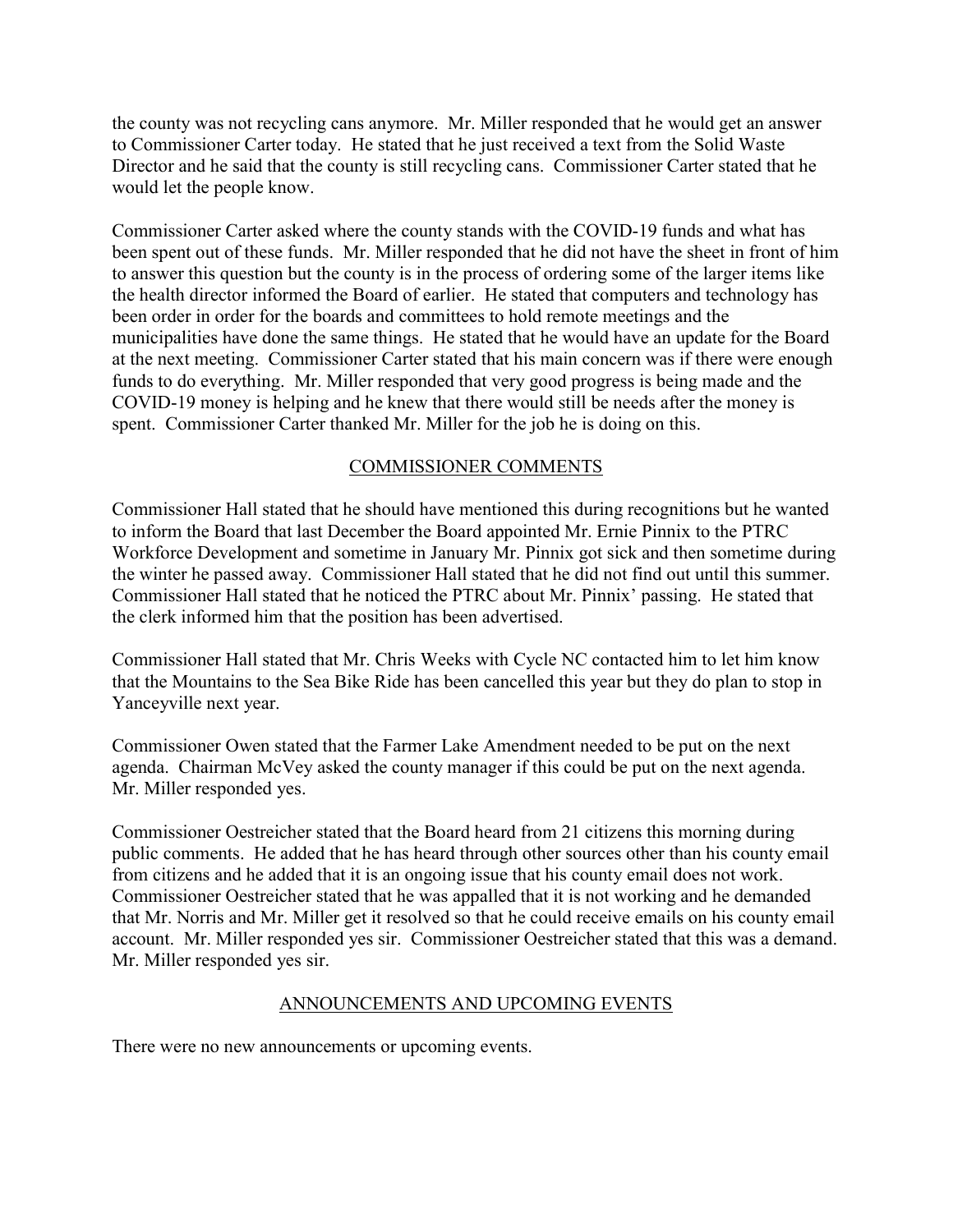the county was not recycling cans anymore. Mr. Miller responded that he would get an answer to Commissioner Carter today. He stated that he just received a text from the Solid Waste Director and he said that the county is still recycling cans. Commissioner Carter stated that he would let the people know.

Commissioner Carter asked where the county stands with the COVID-19 funds and what has been spent out of these funds. Mr. Miller responded that he did not have the sheet in front of him to answer this question but the county is in the process of ordering some of the larger items like the health director informed the Board of earlier. He stated that computers and technology has been order in order for the boards and committees to hold remote meetings and the municipalities have done the same things. He stated that he would have an update for the Board at the next meeting. Commissioner Carter stated that his main concern was if there were enough funds to do everything. Mr. Miller responded that very good progress is being made and the COVID-19 money is helping and he knew that there would still be needs after the money is spent. Commissioner Carter thanked Mr. Miller for the job he is doing on this.

# COMMISSIONER COMMENTS

Commissioner Hall stated that he should have mentioned this during recognitions but he wanted to inform the Board that last December the Board appointed Mr. Ernie Pinnix to the PTRC Workforce Development and sometime in January Mr. Pinnix got sick and then sometime during the winter he passed away. Commissioner Hall stated that he did not find out until this summer. Commissioner Hall stated that he noticed the PTRC about Mr. Pinnix' passing. He stated that the clerk informed him that the position has been advertised.

Commissioner Hall stated that Mr. Chris Weeks with Cycle NC contacted him to let him know that the Mountains to the Sea Bike Ride has been cancelled this year but they do plan to stop in Yanceyville next year.

Commissioner Owen stated that the Farmer Lake Amendment needed to be put on the next agenda. Chairman McVey asked the county manager if this could be put on the next agenda. Mr. Miller responded yes.

Commissioner Oestreicher stated that the Board heard from 21 citizens this morning during public comments. He added that he has heard through other sources other than his county email from citizens and he added that it is an ongoing issue that his county email does not work. Commissioner Oestreicher stated that he was appalled that it is not working and he demanded that Mr. Norris and Mr. Miller get it resolved so that he could receive emails on his county email account. Mr. Miller responded yes sir. Commissioner Oestreicher stated that this was a demand. Mr. Miller responded yes sir.

## ANNOUNCEMENTS AND UPCOMING EVENTS

There were no new announcements or upcoming events.